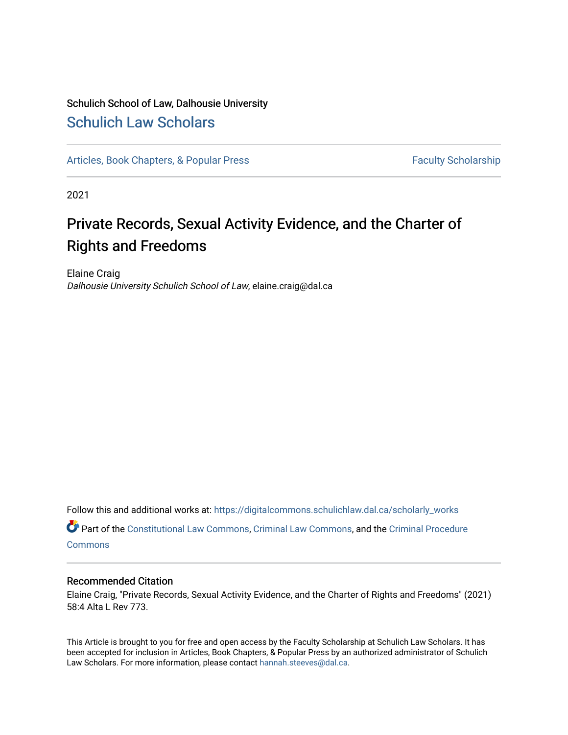# Schulich School of Law, Dalhousie University [Schulich Law Scholars](https://digitalcommons.schulichlaw.dal.ca/)

[Articles, Book Chapters, & Popular Press](https://digitalcommons.schulichlaw.dal.ca/scholarly_works) Faculty Scholarship

2021

# Private Records, Sexual Activity Evidence, and the Charter of Rights and Freedoms

Elaine Craig Dalhousie University Schulich School of Law, elaine.craig@dal.ca

Follow this and additional works at: [https://digitalcommons.schulichlaw.dal.ca/scholarly\\_works](https://digitalcommons.schulichlaw.dal.ca/scholarly_works?utm_source=digitalcommons.schulichlaw.dal.ca%2Fscholarly_works%2F532&utm_medium=PDF&utm_campaign=PDFCoverPages) 

Part of the [Constitutional Law Commons,](http://network.bepress.com/hgg/discipline/589?utm_source=digitalcommons.schulichlaw.dal.ca%2Fscholarly_works%2F532&utm_medium=PDF&utm_campaign=PDFCoverPages) [Criminal Law Commons,](http://network.bepress.com/hgg/discipline/912?utm_source=digitalcommons.schulichlaw.dal.ca%2Fscholarly_works%2F532&utm_medium=PDF&utm_campaign=PDFCoverPages) and the [Criminal Procedure](http://network.bepress.com/hgg/discipline/1073?utm_source=digitalcommons.schulichlaw.dal.ca%2Fscholarly_works%2F532&utm_medium=PDF&utm_campaign=PDFCoverPages)  **[Commons](http://network.bepress.com/hgg/discipline/1073?utm_source=digitalcommons.schulichlaw.dal.ca%2Fscholarly_works%2F532&utm_medium=PDF&utm_campaign=PDFCoverPages)** 

## Recommended Citation

Elaine Craig, "Private Records, Sexual Activity Evidence, and the Charter of Rights and Freedoms" (2021) 58:4 Alta L Rev 773.

This Article is brought to you for free and open access by the Faculty Scholarship at Schulich Law Scholars. It has been accepted for inclusion in Articles, Book Chapters, & Popular Press by an authorized administrator of Schulich Law Scholars. For more information, please contact [hannah.steeves@dal.ca.](mailto:hannah.steeves@dal.ca)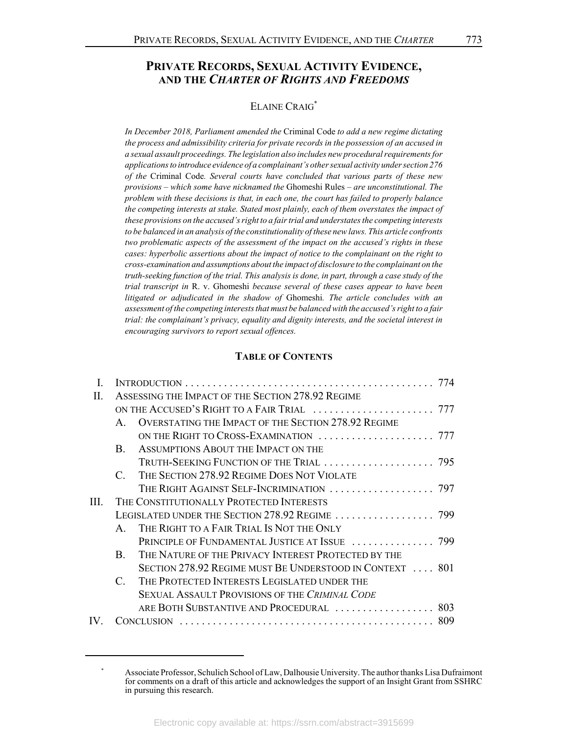# **PRIVATE RECORDS, SEXUAL ACTIVITY EVIDENCE, AND THE CHARTER OF RIGHTS AND FREEDOMS**

# ELAINE CRAIG<sup>\*</sup>

*In December 2018, Parliament amended the Criminal Code to add a new regime dictating the process and admissibility criteria for private records in the possession of an accused in a sexual assault proceedings. The legislation also includes new procedural requirements for applications to introduce evidence of a complainant's other sexual activity under section 276 of the Criminal Code. Several courts have concluded that various parts of these new* provisions – which some have nicknamed the Ghomeshi Rules – are unconstitutional. The *problem with these decisions is that, in each one, the court has failed to properly balance the competing interests at stake. Stated most plainly, each of them overstates the impact of these provisions on the accused's right to a fair trial and understates the competing interests to be balanced in an analysis of the constitutionality of these new laws. This article confronts two problematic aspects of the assessment of the impact on the accused's rights in these cases: hyperbolic assertions about the impact of notice to the complainant on the right to cross-examination and assumptions about the impact of disclosure to the complainant on the truth-seeking function of the trial. This analysis is done, in part, through a case study of the trial transcript in R. v. Ghomeshi because several of these cases appear to have been litigated or adjudicated in the shadow of Ghomeshi. The article concludes with an assessment of the competing interests that must be balanced with the accused's right to a fair trial: the complainant's privacy, equality and dignity interests, and the societal interest in encouraging survivors to report sexual offences.*

### **TABLE OF CONTENTS**

| H.  | ASSESSING THE IMPACT OF THE SECTION 278.92 REGIME |                                                          |  |
|-----|---------------------------------------------------|----------------------------------------------------------|--|
|     |                                                   |                                                          |  |
|     | $A_{\cdot}$                                       | OVERSTATING THE IMPACT OF THE SECTION 278.92 REGIME      |  |
|     |                                                   |                                                          |  |
|     | $\mathbf{B}$                                      | ASSUMPTIONS ABOUT THE IMPACT ON THE                      |  |
|     |                                                   |                                                          |  |
|     | $\mathcal{C}$                                     | THE SECTION 278.92 REGIME DOES NOT VIOLATE               |  |
|     |                                                   | THE RIGHT AGAINST SELF-INCRIMINATION  797                |  |
| TH. | THE CONSTITUTIONALLY PROTECTED INTERESTS          |                                                          |  |
|     |                                                   |                                                          |  |
|     | $\mathsf{A}$ .                                    | THE RIGHT TO A FAIR TRIAL IS NOT THE ONLY                |  |
|     |                                                   |                                                          |  |
|     | $\mathbf{B}$                                      | THE NATURE OF THE PRIVACY INTEREST PROTECTED BY THE      |  |
|     |                                                   | SECTION 278.92 REGIME MUST BE UNDERSTOOD IN CONTEXT  801 |  |
|     | $\mathcal{C}$                                     | THE PROTECTED INTERESTS LEGISLATED UNDER THE             |  |
|     |                                                   | <b>SEXUAL ASSAULT PROVISIONS OF THE CRIMINAL CODE</b>    |  |
|     |                                                   | ARE BOTH SUBSTANTIVE AND PROCEDURAL  803                 |  |
|     |                                                   | <b>CONCLUSION</b>                                        |  |

Associate Professor, Schulich School of Law, Dalhousie University. The author thanks Lisa Dufraimont for comments on a draft of this article and acknowledges the support of an Insight Grant from SSHRC in pursuing this research.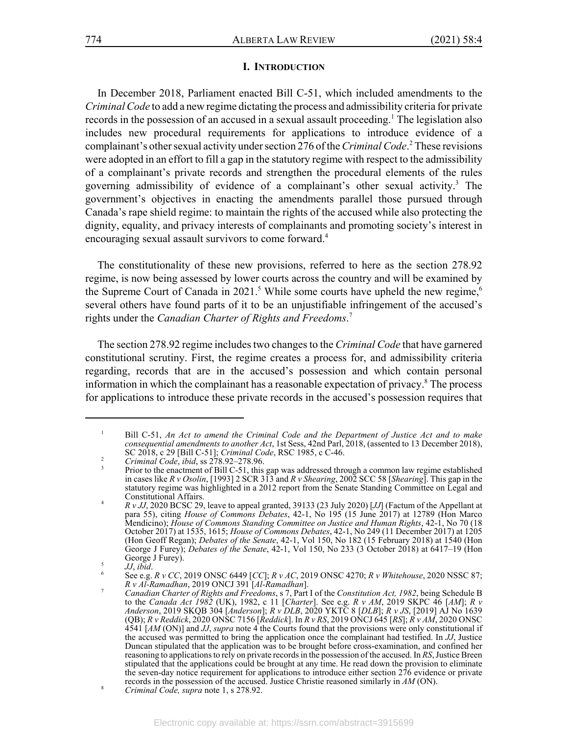# **I. INTRODUCTION**

In December 2018, Parliament enacted Bill C-51, which included amendments to the Criminal Code to add a new regime dictating the process and admissibility criteria for private records in the possession of an accused in a sexual assault proceeding.<sup>1</sup> The legislation also includes new procedural requirements for applications to introduce evidence of a complainant's other sexual activity under section 276 of the Criminal Code.<sup>2</sup> These revisions were adopted in an effort to fill a gap in the statutory regime with respect to the admissibility of a complainant's private records and strengthen the procedural elements of the rules governing admissibility of evidence of a complainant's other sexual activity.<sup>3</sup> The government's objectives in enacting the amendments parallel those pursued through Canada's rape shield regime: to maintain the rights of the accused while also protecting the dignity, equality, and privacy interests of complainants and promoting society's interest in encouraging sexual assault survivors to come forward.<sup>4</sup>

The constitutionality of these new provisions, referred to here as the section 278.92 regime, is now being assessed by lower courts across the country and will be examined by the Supreme Court of Canada in 2021.<sup>5</sup> While some courts have upheld the new regime,<sup>6</sup> several others have found parts of it to be an unjustifiable infringement of the accused's rights under the Canadian Charter of Rights and Freedoms.<sup>7</sup>

The section 278.92 regime includes two changes to the Criminal Code that have garnered constitutional scrutiny. First, the regime creates a process for, and admissibility criteria regarding, records that are in the accused's possession and which contain personal information in which the complainant has a reasonable expectation of privacy.<sup>8</sup> The process for applications to introduce these private records in the accused's possession requires that

 $\mathbf{1}$ Bill C-51, An Act to amend the Criminal Code and the Department of Justice Act and to make consequential amendments to another Act, 1st Sess, 42nd Parl, 2018, (assented to 13 December 2018),<br>SC 2018, c 29 [Bill C-51]; Criminal Code, RSC 1985, c C-46.

 $\overline{2}$ 

Section 25 [BIRC-51], Criminal code, RSS 1505, C.S. C.<br>Criminal Code, ibid, ss 278.92–278.96.<br>Prior to the enactment of Bill C-51, this gap was addressed through a common law regime established<br>in cases like R v Osolin, [ statutory regime was highlighted in a 2012 report from the Senate Standing Committee on Legal and Constitutional Affairs.

 $\overline{4}$ R v JJ, 2020 BCSC 29, leave to appeal granted, 39133 (23 July 2020) [JJ] (Factum of the Appellant at para 55), citing House of Commons Debates, 42-1, No 195 (15 June 2017) at 12789 (Hon Marco Mendicino); House of Commons Standing Committee on Justice and Human Rights, 42-1, No 70 (18 October 2017) at 1535, 1615; House of Commons Debates, 42-1, No 249 (11 December 2017) at 1205<br>(Hon Geoff Regan); *Debates of the Senate*, 42-1, Vol 150, No 182 (15 February 2018) at 1540 (Hon<br>George J Furey); *Debates of* George J Furey).

<sup>5</sup> JJ, ibid.

See e.g. R v CC, 2019 ONSC 6449 [CC]; R v AC, 2019 ONSC 4270; R v Whitehouse, 2020 NSSC 87;

See e.g. R v CC, 2019 ONSE 0449 [CC], R v AC, 2019 ONSE 4270, R v Willehouse, 2020 NSSC 87,<br>
R v Al-Ramadhan, 2019 ONCJ 391 [Al-Ramadhan].<br>
Canadian Charter of Rights and Freedoms, s 7, Part I of the Constitution Act, 1982 (QB);  $R v \text{ Reddict}, 2020 \text{ ONSC } 7156$  [*Reddick*]. In  $R v \text{ RS}, 2019 \text{ ONCI } 645$  [RS];  $R v \text{ AM}, 2020 \text{ ONSC } 4541$  [*AM* (ON)] and *JJ*, *supra* note 4 the Courts found that the provisions were only constitutional if the accused was permitted to bring the application once the complainant had testified. In  $JJ$ , Justice Duncan stipulated that the application was to be brought before cross-examination, and confined her reasoning to appli stipulated that the applications could be brought at any time. He read down the provision to eliminate the seven-day notice requirement for applications to introduce either section 276 evidence or private<br>records in the possession of the accused. Justice Christie reasoned similarly in AM (ON).

<sup>8</sup> Criminal Code, supra note 1, s 278.92.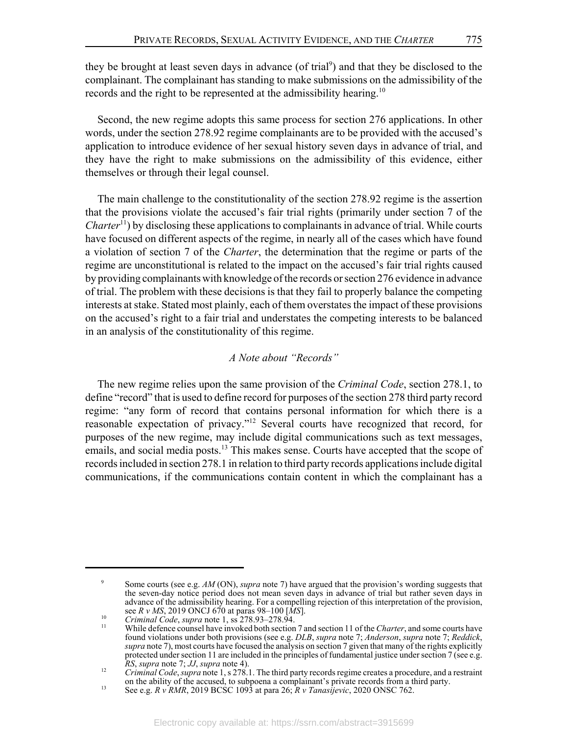they be brought at least seven days in advance (of trial<sup>9</sup>) and that they be disclosed to the complainant. The complainant has standing to make submissions on the admissibility of the records and the right to be represented at the admissibility hearing.<sup>10</sup>

Second, the new regime adopts this same process for section 276 applications. In other words, under the section 278.92 regime complainants are to be provided with the accused's application to introduce evidence of her sexual history seven days in advance of trial, and they have the right to make submissions on the admissibility of this evidence, either themselves or through their legal counsel.

The main challenge to the constitutionality of the section 278.92 regime is the assertion that the provisions violate the accused's fair trial rights (primarily under section 7 of the *Charter*<sup>11</sup>) by disclosing these applications to complainants in advance of trial. While courts have focused on different aspects of the regime, in nearly all of the cases which have found a violation of section 7 of the *Charter*, the determination that the regime or parts of the regime are unconstitutional is related to the impact on the accused's fair trial rights caused by providing complainants with knowledge of the records or section 276 evidence in advance of trial. The problem with these decisions is that they fail to properly balance the competing interests at stake. Stated most plainly, each of them overstates the impact of these provisions on the accused's right to a fair trial and understates the competing interests to be balanced in an analysis of the constitutionality of this regime.

# A Note about "Records"

The new regime relies upon the same provision of the *Criminal Code*, section 278.1, to define "record" that is used to define record for purposes of the section 278 third party record regime: "any form of record that contains personal information for which there is a reasonable expectation of privacy."<sup>12</sup> Several courts have recognized that record, for purposes of the new regime, may include digital communications such as text messages, emails, and social media posts.<sup>13</sup> This makes sense. Courts have accepted that the scope of records included in section 278.1 in relation to third party records applications include digital communications, if the communications contain content in which the complainant has a

 $\overline{9}$ Some courts (see e.g. AM (ON), supra note 7) have argued that the provision's wording suggests that the seven-day notice period does not mean seven days in advance of trial but rather seven days in advance of the admissibility hearing. For a compelling rejection of this interpretation of the provision, see R v MS, 2019 ONCJ 670 at paras 98-100 [ $\hat{M}$ S].

 $10\,$ Criminal Code, supra note 1, ss 278.93-278.94.

 $11$ While defence counsel have invoked both section 7 and section 11 of the Charter, and some courts have found violations under both provisions (see e.g. DLB, supra note 7; Anderson, supra note 7; Reddick, supra note 7), most courts have focused the analysis on section 7 given that many of the rights explicitly protected under section 11 are included in the principles of fundamental justice under section 7 (see e.g. RS, supra note 7; JJ, supra note 4).

 $12$ Criminal Code, supra note 1, s 278.1. The third party records regime creates a procedure, and a restraint on the ability of the accused, to subpoena a complainant's private records from a third party.

 $13$ See e.g.  $R \nu RMR$ , 2019 BCSC 1093 at para 26;  $R \nu$  Tanasijevic, 2020 ONSC 762.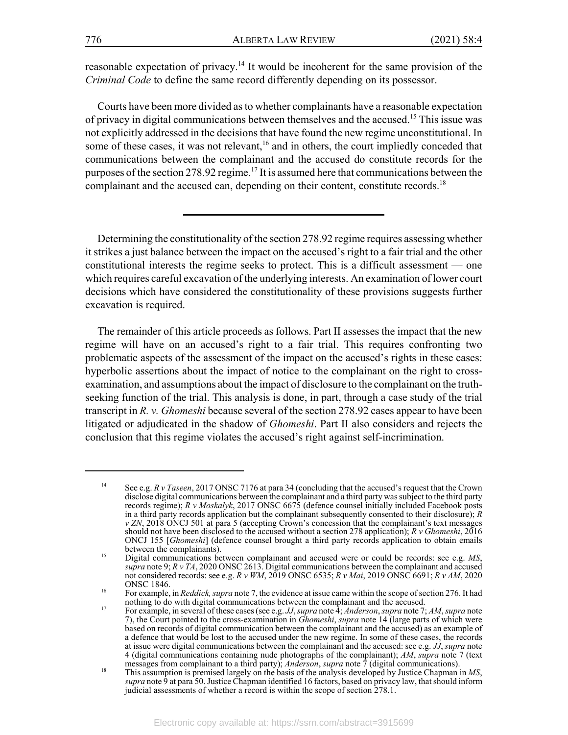reasonable expectation of privacy.<sup>14</sup> It would be incoherent for the same provision of the Criminal Code to define the same record differently depending on its possessor.

Courts have been more divided as to whether complainants have a reasonable expectation of privacy in digital communications between themselves and the accused.<sup>15</sup> This issue was not explicitly addressed in the decisions that have found the new regime unconstitutional. In some of these cases, it was not relevant,<sup>16</sup> and in others, the court impliedly conceded that communications between the complainant and the accused do constitute records for the purposes of the section 278.92 regime.<sup>17</sup> It is assumed here that communications between the complainant and the accused can, depending on their content, constitute records.<sup>18</sup>

Determining the constitutionality of the section 278.92 regime requires assessing whether it strikes a just balance between the impact on the accused's right to a fair trial and the other constitutional interests the regime seeks to protect. This is a difficult assessment — one which requires careful excavation of the underlying interests. An examination of lower court decisions which have considered the constitutionality of these provisions suggests further excavation is required.

The remainder of this article proceeds as follows. Part II assesses the impact that the new regime will have on an accused's right to a fair trial. This requires confronting two problematic aspects of the assessment of the impact on the accused's rights in these cases: hyperbolic assertions about the impact of notice to the complainant on the right to crossexamination, and assumptions about the impact of disclosure to the complainant on the truthseeking function of the trial. This analysis is done, in part, through a case study of the trial transcript in  $R$ .  $\nu$ . *Ghomeshi* because several of the section 278.92 cases appear to have been litigated or adjudicated in the shadow of *Ghomeshi*. Part II also considers and rejects the conclusion that this regime violates the accused's right against self-incrimination.

 $14$ See e.g.  $R v$  Taseen, 2017 ONSC 7176 at para 34 (concluding that the accused's request that the Crown disclose digital communications between the complainant and a third party was subject to the third party records regime); *R v Moskalyk*, 2017 ONSC 6675 (defence counsel initially included Facebook posts<br>in a third party records application but the complainant subsequently consented to their disclosure); *R*  $v$  ZN, 2018 ONCJ 501 at para 5 (accepting Crown's concession that the complainant's text messages should not have been disclosed to the accused without a section 278 application);  $R v$  Ghomeshi, 2016 ONCJ 155 [Ghomeshi] (defence counsel brought a third party records application to obtain emails between the complainants).

<sup>15</sup> Digital communications between complainant and accused were or could be records: see e.g. MS, supra note 9;  $RvTA$ , 2020 ONSC 2613. Digital communications between the complainant and accused not considered records: see e.g.  $R \, v \, WM$ , 2019 ONSC 6535;  $R \, v \, Mai$ , 2019 ONSC 6691;  $R \, v \, AM$ , 2020 ONSC 1846.

<sup>16</sup> For example, in Reddick, supra note 7, the evidence at issue came within the scope of section 276. It had nothing to do with digital communications between the complainant and the accused.

For example, in several of these cases (see e.g. JJ, supra note 4; Anderson, supra note 7; AM, supra note 17 7), the Court pointed to the cross-examination in *Ghomeshi*, *supra* note 14 (large parts of which were based on records of digital communication between the complainant and the accused) as an example of a defence that would be lost to the accused under the new regime. In some of these cases, the records<br>at issue were digital communications between the complainant and the accused: see e.g.  $JJ$ , supra note<br>4 (digital commu

messages from complainant to a third party); *Anderson*, *supra* note 7 (digital communications).<br>This assumption is premised largely on the basis of the analysis developed by Justice Chapman in MS, *supra* note 9 at para 18 judicial assessments of whether a record is within the scope of section 278.1.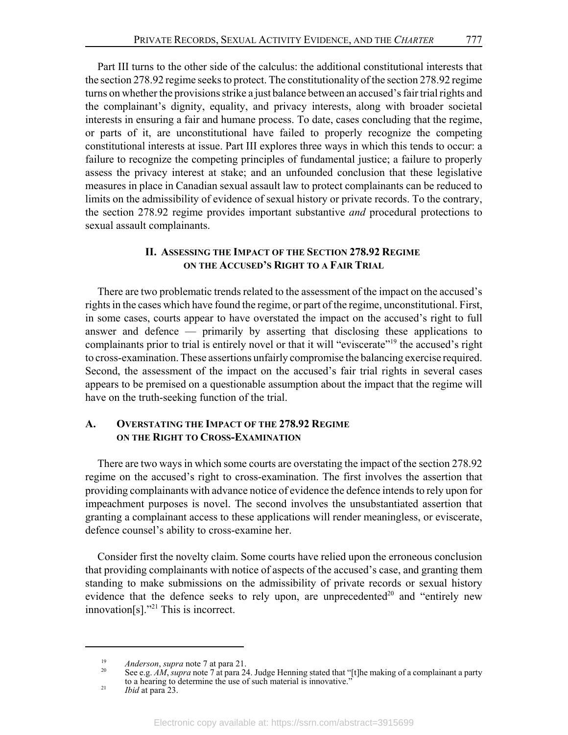Part III turns to the other side of the calculus: the additional constitutional interests that the section 278.92 regime seeks to protect. The constitutionality of the section 278.92 regime turns on whether the provisions strike a just balance between an accused's fair trial rights and the complainant's dignity, equality, and privacy interests, along with broader societal interests in ensuring a fair and humane process. To date, cases concluding that the regime, or parts of it, are unconstitutional have failed to properly recognize the competing constitutional interests at issue. Part III explores three ways in which this tends to occur: a failure to recognize the competing principles of fundamental justice; a failure to properly assess the privacy interest at stake; and an unfounded conclusion that these legislative measures in place in Canadian sexual assault law to protect complainants can be reduced to limits on the admissibility of evidence of sexual history or private records. To the contrary, the section 278.92 regime provides important substantive *and* procedural protections to sexual assault complainants.

# II. ASSESSING THE IMPACT OF THE SECTION 278.92 REGIME ON THE ACCUSED'S RIGHT TO A FAIR TRIAL

There are two problematic trends related to the assessment of the impact on the accused's rights in the cases which have found the regime, or part of the regime, unconstitutional. First, in some cases, courts appear to have overstated the impact on the accused's right to full answer and defence  $-$  primarily by asserting that disclosing these applications to complainants prior to trial is entirely novel or that it will "eviscerate"<sup>19</sup> the accused's right to cross-examination. These assertions unfairly compromise the balancing exercise required. Second, the assessment of the impact on the accused's fair trial rights in several cases appears to be premised on a questionable assumption about the impact that the regime will have on the truth-seeking function of the trial.

#### A. **OVERSTATING THE IMPACT OF THE 278.92 REGIME** ON THE RIGHT TO CROSS-EXAMINATION

There are two ways in which some courts are overstating the impact of the section 278.92 regime on the accused's right to cross-examination. The first involves the assertion that providing complainants with advance notice of evidence the defence intends to rely upon for impeachment purposes is novel. The second involves the unsubstantiated assertion that granting a complainant access to these applications will render meaningless, or eviscerate, defence counsel's ability to cross-examine her.

Consider first the novelty claim. Some courts have relied upon the erroneous conclusion that providing complainants with notice of aspects of the accused's case, and granting them standing to make submissions on the admissibility of private records or sexual history evidence that the defence seeks to rely upon, are unprecedented $20$  and "entirely new innovation[s]."<sup>21</sup> This is incorrect.

<sup>19</sup> 20

Anderson, supra note 7 at para 21.<br>See e.g. AM, supra note 7 at para 24. Judge Henning stated that "[t]he making of a complainant a party to a hearing to determine the use of such material is innovative."

<sup>21</sup> *Ibid* at para 23.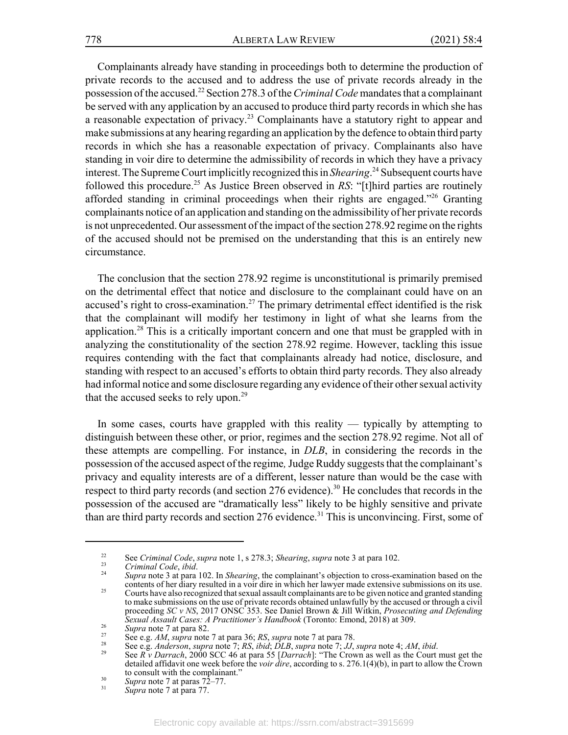Complainants already have standing in proceedings both to determine the production of private records to the accused and to address the use of private records already in the possession of the accused.<sup>22</sup> Section 278.3 of the *Criminal Code* mandates that a complainant be served with any application by an accused to produce third party records in which she has a reasonable expectation of privacy.<sup>23</sup> Complainants have a statutory right to appear and make submissions at any hearing regarding an application by the defence to obtain third party records in which she has a reasonable expectation of privacy. Complainants also have standing in voir dire to determine the admissibility of records in which they have a privacy interest. The Supreme Court implicitly recognized this in *Shearing*.<sup>24</sup> Subsequent courts have followed this procedure.<sup>25</sup> As Justice Breen observed in RS: "[t] hird parties are routinely afforded standing in criminal proceedings when their rights are engaged."<sup>26</sup> Granting complainants notice of an application and standing on the admissibility of her private records is not unprecedented. Our assessment of the impact of the section 278.92 regime on the rights of the accused should not be premised on the understanding that this is an entirely new circumstance.

The conclusion that the section 278.92 regime is unconstitutional is primarily premised on the detrimental effect that notice and disclosure to the complainant could have on an accused's right to cross-examination.<sup>27</sup> The primary detrimental effect identified is the risk that the complainant will modify her testimony in light of what she learns from the application.<sup>28</sup> This is a critically important concern and one that must be grappled with in analyzing the constitutionality of the section 278.92 regime. However, tackling this issue requires contending with the fact that complainants already had notice, disclosure, and standing with respect to an accused's efforts to obtain third party records. They also already had informal notice and some disclosure regarding any evidence of their other sexual activity that the accused seeks to rely upon.<sup>29</sup>

In some cases, courts have grappled with this reality — typically by attempting to distinguish between these other, or prior, regimes and the section 278.92 regime. Not all of these attempts are compelling. For instance, in *DLB*, in considering the records in the possession of the accused aspect of the regime, Judge Ruddy suggests that the complainant's privacy and equality interests are of a different, lesser nature than would be the case with respect to third party records (and section 276 evidence).<sup>30</sup> He concludes that records in the possession of the accused are "dramatically less" likely to be highly sensitive and private than are third party records and section 276 evidence.<sup>31</sup> This is unconvincing. First, some of

 $22\,$ See Criminal Code, supra note 1, s 278.3; Shearing, supra note 3 at para 102.

<sup>23</sup> Criminal Code, ibid.

<sup>24</sup> Supra note 3 at para 102. In Shearing, the complainant's objection to cross-examination based on the contents of her diary resulted in a voir dire in which her lawyer made extensive submissions on its use. 25

Courts have also recognized that sexual assault complainants are to be given notice and granted standing<br>to make submissions on the use of private records obtained unlawfully by the accused or through a civil proceeding  $SCv$  NS, 2017 ONSC 353. See Daniel Brown & Jill Witkin, Prosecuting and Defending Sexual Assault Cases: A Practitioner's Handbook (Toronto: Emond, 2018) at 309.  $26$ 

Supra note 7 at para 82.  $27$ 

 $28\,$ 

<sup>29</sup> 

See e.g. AM, supra note 7 at para 36; RS, supra note 7 at para 78.<br>See e.g. Anderson, supra note 7; RS, ibid; DLB, supra note 7; JJ, supra note 4; AM, ibid.<br>See R v Darrach, 2000 SCC 46 at para 55 [Darrach]: "The Crown as detailed affidavit one week before the *voir dire*, according to s. 276.1(4)(b), in part to allow the Crown to consult with the complainant."  $30<sup>2</sup>$ 

Supra note 7 at paras 72-77.  $31$ 

Supra note 7 at para 77.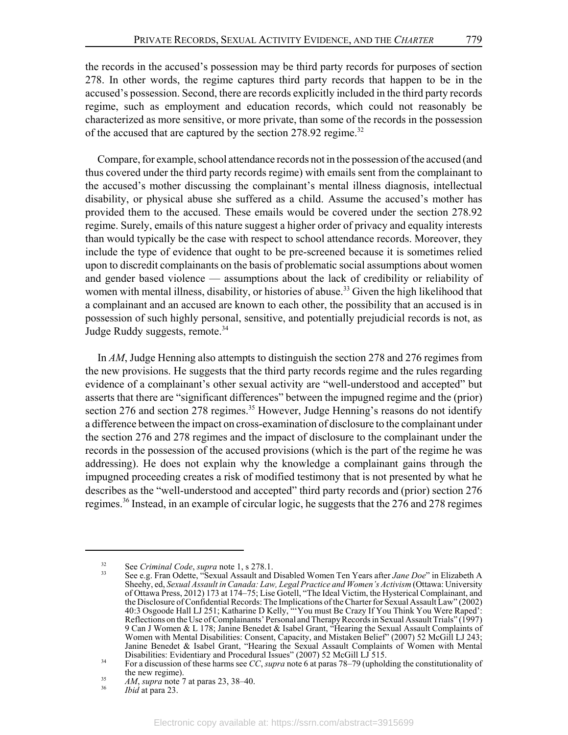the records in the accused's possession may be third party records for purposes of section 278. In other words, the regime captures third party records that happen to be in the accused's possession. Second, there are records explicitly included in the third party records regime, such as employment and education records, which could not reasonably be characterized as more sensitive, or more private, than some of the records in the possession of the accused that are captured by the section 278.92 regime.<sup>32</sup>

Compare, for example, school attendance records not in the possession of the accused (and thus covered under the third party records regime) with emails sent from the complainant to the accused's mother discussing the complainant's mental illness diagnosis, intellectual disability, or physical abuse she suffered as a child. Assume the accused's mother has provided them to the accused. These emails would be covered under the section 278.92 regime. Surely, emails of this nature suggest a higher order of privacy and equality interests than would typically be the case with respect to school attendance records. Moreover, they include the type of evidence that ought to be pre-screened because it is sometimes relied upon to discredit complainants on the basis of problematic social assumptions about women and gender based violence — assumptions about the lack of credibility or reliability of women with mental illness, disability, or histories of abuse.<sup>33</sup> Given the high likelihood that a complainant and an accused are known to each other, the possibility that an accused is in possession of such highly personal, sensitive, and potentially prejudicial records is not, as Judge Ruddy suggests, remote.<sup>34</sup>

In AM, Judge Henning also attempts to distinguish the section 278 and 276 regimes from the new provisions. He suggests that the third party records regime and the rules regarding evidence of a complainant's other sexual activity are "well-understood and accepted" but asserts that there are "significant differences" between the impugned regime and the (prior) section 276 and section 278 regimes.<sup>35</sup> However, Judge Henning's reasons do not identify a difference between the impact on cross-examination of disclosure to the complainant under the section 276 and 278 regimes and the impact of disclosure to the complainant under the records in the possession of the accused provisions (which is the part of the regime he was addressing). He does not explain why the knowledge a complainant gains through the impugned proceeding creates a risk of modified testimony that is not presented by what he describes as the "well-understood and accepted" third party records and (prior) section 276 regimes.<sup>36</sup> Instead, in an example of circular logic, he suggests that the 276 and 278 regimes

<sup>32</sup> See Criminal Code, supra note 1, s 278.1.  $33$ 

See e.g. Fran Odette, "Sexual Assault and Disabled Women Ten Years after Jane Doe" in Elizabeth A Sheehy, ed, Sexual Assault in Canada: Law, Legal Practice and Women's Activism (Ottawa: University of Ottawa Press, 2012) 173 at 174–75; Lise Gotell, "The Ideal Victim, the Hysterical Complainant, and<br>the Disclosure of Confidential Records: The Implications of the Charter for Sexual Assault Law" (2002) 40:3 Osgoode Hall LJ 251; Katharine D Kelly, "You must Be Crazy If You Think You Were Raped":<br>Reflections on the Use of Complainants' Personal and Therapy Records in Sexual Assault Trials" (1997)<br>9 Can J Women & L 178; Jan Women with Mental Disabilities: Consent, Capacity, and Mistaken Belief" (2007) 52 McGill LJ 243;<br>Janine Benedet & Isabel Grant, "Hearing the Sexual Assault Complaints of Women with Mental<br>Disabilities: Evidentiary and Proc

<sup>34</sup> For a discussion of these harms see CC, supra note 6 at paras  $78-79$  (upholding the constitutionality of the new regime).<br>AM, supra note 7 at paras 23, 38–40.  $35$ 

<sup>36</sup> Ibid at para 23.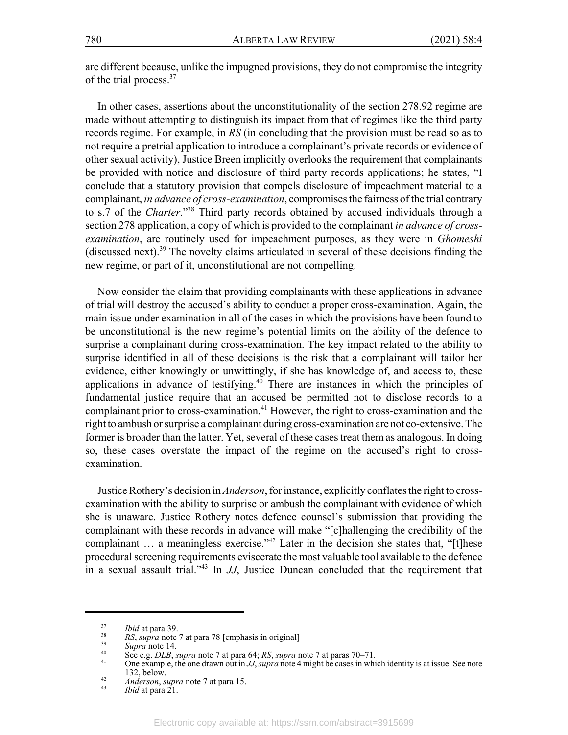are different because, unlike the impugned provisions, they do not compromise the integrity of the trial process.<sup>37</sup>

In other cases, assertions about the unconstitutionality of the section 278.92 regime are made without attempting to distinguish its impact from that of regimes like the third party records regime. For example, in  $RS$  (in concluding that the provision must be read so as to not require a pretrial application to introduce a complainant's private records or evidence of other sexual activity), Justice Breen implicitly overlooks the requirement that complainants be provided with notice and disclosure of third party records applications; he states, "I conclude that a statutory provision that compels disclosure of impeachment material to a complainant, in advance of cross-examination, compromises the fairness of the trial contrary to s.7 of the Charter."<sup>38</sup> Third party records obtained by accused individuals through a section 278 application, a copy of which is provided to the complainant in advance of crossexamination, are routinely used for impeachment purposes, as they were in Ghomeshi (discussed next).<sup>39</sup> The novelty claims articulated in several of these decisions finding the new regime, or part of it, unconstitutional are not compelling.

Now consider the claim that providing complainants with these applications in advance of trial will destroy the accused's ability to conduct a proper cross-examination. Again, the main issue under examination in all of the cases in which the provisions have been found to be unconstitutional is the new regime's potential limits on the ability of the defence to surprise a complainant during cross-examination. The key impact related to the ability to surprise identified in all of these decisions is the risk that a complainant will tailor her evidence, either knowingly or unwittingly, if she has knowledge of, and access to, these applications in advance of testifying.<sup>40</sup> There are instances in which the principles of fundamental justice require that an accused be permitted not to disclose records to a complainant prior to cross-examination.<sup>41</sup> However, the right to cross-examination and the right to ambush or surprise a complainant during cross-examination are not co-extensive. The former is broader than the latter. Yet, several of these cases treat them as analogous. In doing so, these cases overstate the impact of the regime on the accused's right to crossexamination.

Justice Rothery's decision in *Anderson*, for instance, explicitly conflates the right to crossexamination with the ability to surprise or ambush the complainant with evidence of which she is unaware. Justice Rothery notes defence counsel's submission that providing the complainant with these records in advance will make "[c]hallenging the credibility of the complainant ... a meaningless exercise."<sup>42</sup> Later in the decision she states that, "[t]hese procedural screening requirements eviscerate the most valuable tool available to the defence in a sexual assault trial."<sup>43</sup> In  $JJ$ , Justice Duncan concluded that the requirement that

<sup>37</sup> Ibid at para 39.

<sup>38</sup> RS, supra note 7 at para 78 [emphasis in original]

<sup>39</sup> Supra note 14.  $40<sup>1</sup>$ 

See e.g. DLB, supra note 7 at para 64; RS, supra note 7 at paras 70–71.

 $41$ One example, the one drawn out in JJ, supra note 4 might be cases in which identity is at issue. See note  $132$ , below.  $42$ 

*Anderson, supra note* 7 at para 15.

 $43$ *Ibid* at para 21.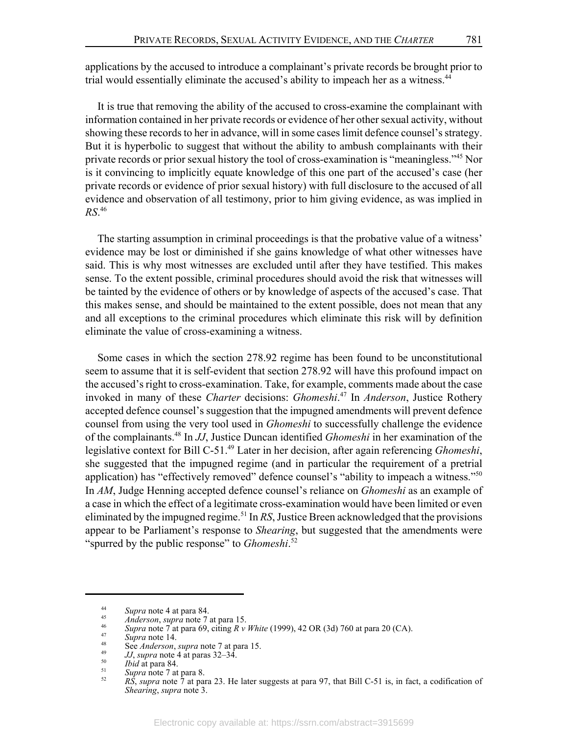applications by the accused to introduce a complainant's private records be brought prior to trial would essentially eliminate the accused's ability to impeach her as a witness.<sup>44</sup>

It is true that removing the ability of the accused to cross-examine the complainant with information contained in her private records or evidence of her other sexual activity, without showing these records to her in advance, will in some cases limit defence counsel's strategy. But it is hyperbolic to suggest that without the ability to ambush complainants with their private records or prior sexual history the tool of cross-examination is "meaningless."<sup>45</sup> Nor is it convincing to implicitly equate knowledge of this one part of the accused's case (her private records or evidence of prior sexual history) with full disclosure to the accused of all evidence and observation of all testimony, prior to him giving evidence, as was implied in  $RS^{46}$ 

The starting assumption in criminal proceedings is that the probative value of a witness' evidence may be lost or diminished if she gains knowledge of what other witnesses have said. This is why most witnesses are excluded until after they have testified. This makes sense. To the extent possible, criminal procedures should avoid the risk that witnesses will be tainted by the evidence of others or by knowledge of aspects of the accused's case. That this makes sense, and should be maintained to the extent possible, does not mean that any and all exceptions to the criminal procedures which eliminate this risk will by definition eliminate the value of cross-examining a witness.

Some cases in which the section 278.92 regime has been found to be unconstitutional seem to assume that it is self-evident that section 278.92 will have this profound impact on the accused's right to cross-examination. Take, for example, comments made about the case invoked in many of these Charter decisions: Ghomeshi.<sup>47</sup> In Anderson, Justice Rothery accepted defence counsel's suggestion that the impugned amendments will prevent defence counsel from using the very tool used in *Ghomeshi* to successfully challenge the evidence of the complainants.<sup>48</sup> In  $JJ$ , Justice Duncan identified *Ghomeshi* in her examination of the legislative context for Bill C-51.<sup>49</sup> Later in her decision, after again referencing *Ghomeshi*, she suggested that the impugned regime (and in particular the requirement of a pretrial application) has "effectively removed" defence counsel's "ability to impeach a witness."<sup>50</sup> In AM, Judge Henning accepted defence counsel's reliance on *Ghomeshi* as an example of a case in which the effect of a legitimate cross-examination would have been limited or even eliminated by the impugned regime.<sup>51</sup> In  $RS$ , Justice Breen acknowledged that the provisions appear to be Parliament's response to Shearing, but suggested that the amendments were "spurred by the public response" to *Ghomeshi*.<sup>52</sup>

<sup>44</sup> Supra note 4 at para 84.

<sup>45</sup> Anderson, supra note 7 at para 15.

<sup>46</sup> Supra note 7 at para 69, citing R v White (1999), 42 OR (3d) 760 at para 20 (CA). 47

Supra note 14.

<sup>48</sup> See Anderson, supra note 7 at para 15. 49

JJ, supra note 4 at paras 32–34. 50

Ibid at para 84. 51

Supra note 7 at para 8.

 $52$ RS, supra note  $\bar{7}$  at para 23. He later suggests at para 97, that Bill C-51 is, in fact, a codification of Shearing, supra note 3.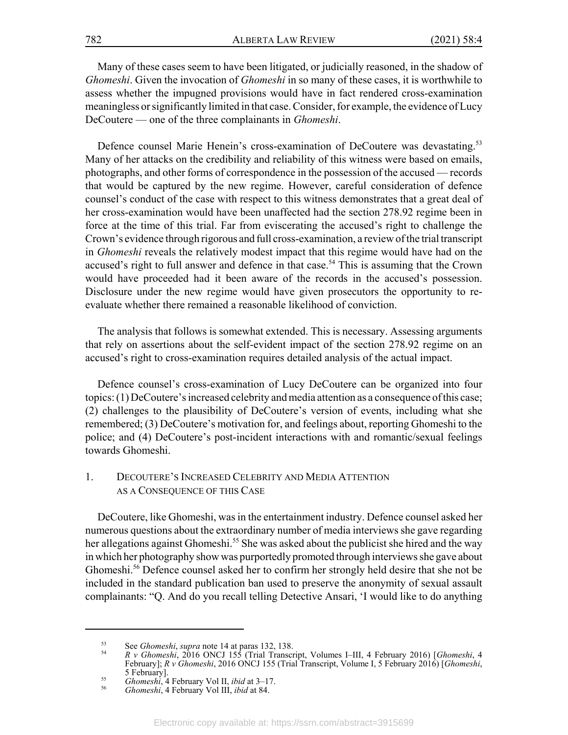Many of these cases seem to have been litigated, or judicially reasoned, in the shadow of Ghomeshi. Given the invocation of Ghomeshi in so many of these cases, it is worthwhile to assess whether the impugned provisions would have in fact rendered cross-examination meaningless or significantly limited in that case. Consider, for example, the evidence of Lucy DeCoutere — one of the three complainants in *Ghomeshi*.

Defence counsel Marie Henein's cross-examination of DeCoutere was devastating.<sup>53</sup> Many of her attacks on the credibility and reliability of this witness were based on emails, photographs, and other forms of correspondence in the possession of the accused — records that would be captured by the new regime. However, careful consideration of defence counsel's conduct of the case with respect to this witness demonstrates that a great deal of her cross-examination would have been unaffected had the section 278.92 regime been in force at the time of this trial. Far from eviscerating the accused's right to challenge the Crown's evidence through rigorous and full cross-examination, a review of the trial transcript in *Ghomeshi* reveals the relatively modest impact that this regime would have had on the accused's right to full answer and defence in that case.<sup>54</sup> This is assuming that the Crown would have proceeded had it been aware of the records in the accused's possession. Disclosure under the new regime would have given prosecutors the opportunity to reevaluate whether there remained a reasonable likelihood of conviction.

The analysis that follows is somewhat extended. This is necessary. Assessing arguments that rely on assertions about the self-evident impact of the section 278.92 regime on an accused's right to cross-examination requires detailed analysis of the actual impact.

Defence counsel's cross-examination of Lucy DeCoutere can be organized into four topics: (1) DeCoutere's increased celebrity and media attention as a consequence of this case; (2) challenges to the plausibility of DeCoutere's version of events, including what she remembered; (3) DeCoutere's motivation for, and feelings about, reporting Ghomeshi to the police; and (4) DeCoutere's post-incident interactions with and romantic/sexual feelings towards Ghomeshi.

1. DECOUTERE'S INCREASED CELEBRITY AND MEDIA ATTENTION AS A CONSEQUENCE OF THIS CASE

DeCoutere, like Ghomeshi, was in the entertainment industry. Defence counsel asked her numerous questions about the extraordinary number of media interviews she gave regarding her allegations against Ghomeshi.<sup>55</sup> She was asked about the publicist she hired and the way in which her photography show was purportedly promoted through interviews she gave about Ghomeshi.<sup>56</sup> Defence counsel asked her to confirm her strongly held desire that she not be included in the standard publication ban used to preserve the anonymity of sexual assault complainants: "Q. And do you recall telling Detective Ansari, 'I would like to do anything

<sup>53</sup> 

See Ghomeshi, supra note 14 at paras 132, 138.<br>R v Ghomeshi, 2016 ONCJ 155 (Trial Transcript, Volumes I-III, 4 February 2016) [Ghomeshi, 4 54 February]; R v Ghomeshi, 2016 ONCJ 155 (Trial Transcript, Volume I, 5 February 2016) [Ghomeshi, 5 February]. 55

Ghomeshi, 4 February Vol II, ibid at 3-17.

<sup>56</sup> Ghomeshi, 4 February Vol III, ibid at 84.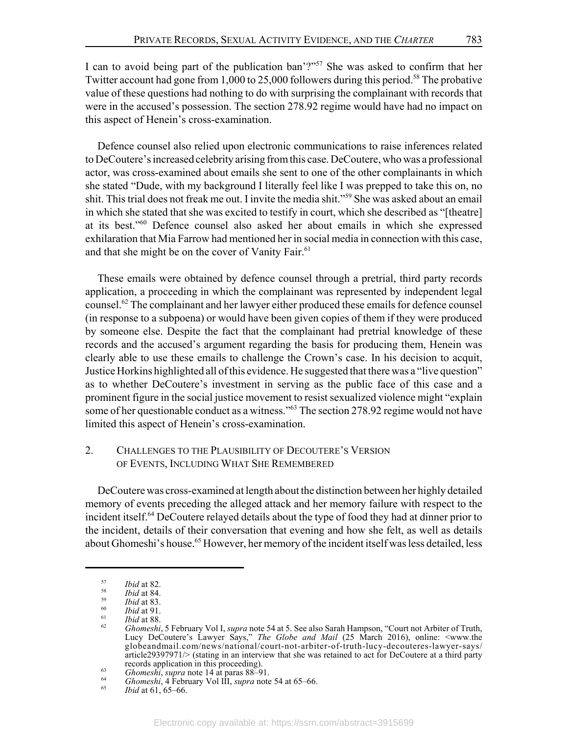783

I can to avoid being part of the publication ban'?"<sup>57</sup> She was asked to confirm that her Twitter account had gone from 1,000 to 25,000 followers during this period.<sup>58</sup> The probative value of these questions had nothing to do with surprising the complainant with records that were in the accused's possession. The section 278.92 regime would have had no impact on this aspect of Henein's cross-examination.

Defence counsel also relied upon electronic communications to raise inferences related to DeCoutere's increased celebrity arising from this case. DeCoutere, who was a professional actor, was cross-examined about emails she sent to one of the other complainants in which she stated "Dude, with my background I literally feel like I was prepped to take this on, no shit. This trial does not freak me out. I invite the media shit."<sup>59</sup> She was asked about an email in which she stated that she was excited to testify in court, which she described as "[theatre] at its best."<sup>60</sup> Defence counsel also asked her about emails in which she expressed exhilaration that Mia Farrow had mentioned her in social media in connection with this case, and that she might be on the cover of Vanity Fair.<sup>61</sup>

These emails were obtained by defence counsel through a pretrial, third party records application, a proceeding in which the complainant was represented by independent legal counsel.<sup>62</sup> The complainant and her lawyer either produced these emails for defence counsel (in response to a subpoena) or would have been given copies of them if they were produced by someone else. Despite the fact that the complainant had pretrial knowledge of these records and the accused's argument regarding the basis for producing them, Henein was clearly able to use these emails to challenge the Crown's case. In his decision to acquit, Justice Horkins highlighted all of this evidence. He suggested that there was a "live question" as to whether DeCoutere's investment in serving as the public face of this case and a prominent figure in the social justice movement to resist sexualized violence might "explain some of her questionable conduct as a witness."<sup>63</sup> The section 278.92 regime would not have limited this aspect of Henein's cross-examination.

#### 2. CHALLENGES TO THE PLAUSIBILITY OF DECOUTERE'S VERSION OF EVENTS, INCLUDING WHAT SHE REMEMBERED

DeCoutere was cross-examined at length about the distinction between her highly detailed memory of events preceding the alleged attack and her memory failure with respect to the incident itself.<sup>64</sup> DeCoutere relayed details about the type of food they had at dinner prior to the incident, details of their conversation that evening and how she felt, as well as details about Ghomeshi's house.<sup>65</sup> However, her memory of the incident itself was less detailed, less

<sup>57</sup> Ibid at 82. 58

Ibid at 84. 59

Ibid at 83. 60

Ibid at 91. 61

*Ibid* at 88. 62

Ghomeshi, 5 February Vol I, supra note 54 at 5. See also Sarah Hampson, "Court not Arbiter of Truth, Lucy DeCoutere's Lawyer Says," The Globe and Mail (25 March 2016), online: <www.the globeandmail.com/news/national/court-not-arbiter-of-truth-lucy-decouteres-lawyer-says/ article29397971/> (stating in an interview that she was retained to act for DeCoutere at a third party records application in this proceeding).

<sup>63</sup> Ghomeshi, supra note 14 at paras 88-91.

<sup>64</sup> Ghomeshi, 4 February Vol III, supra note 54 at 65–66.

<sup>65</sup> *Ibid* at 61, 65–66.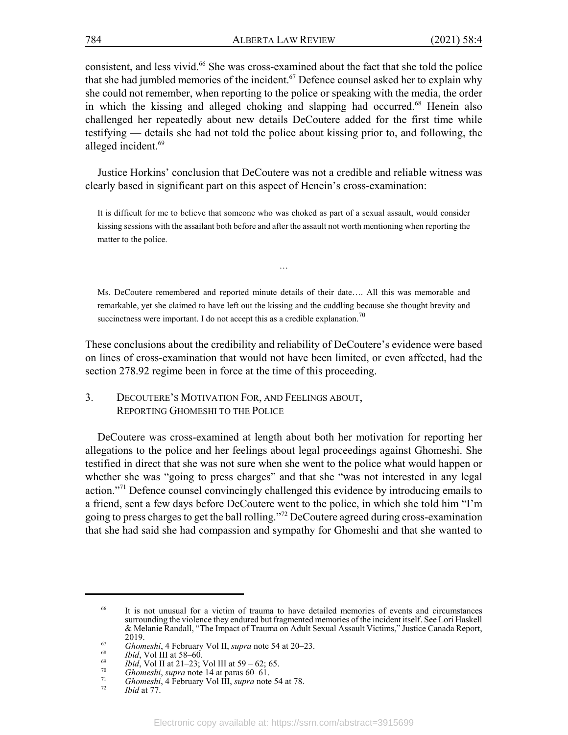consistent, and less vivid.<sup>66</sup> She was cross-examined about the fact that she told the police that she had jumbled memories of the incident.<sup>67</sup> Defence counsel asked her to explain why she could not remember, when reporting to the police or speaking with the media, the order in which the kissing and alleged choking and slapping had occurred.<sup>68</sup> Henein also challenged her repeatedly about new details DeCoutere added for the first time while testifying — details she had not told the police about kissing prior to, and following, the alleged incident.<sup>69</sup>

Justice Horkins' conclusion that DeCoutere was not a credible and reliable witness was clearly based in significant part on this aspect of Henein's cross-examination:

It is difficult for me to believe that someone who was choked as part of a sexual assault, would consider kissing sessions with the assailant both before and after the assault not worth mentioning when reporting the matter to the police.

Ms. DeCoutere remembered and reported minute details of their date.... All this was memorable and remarkable, yet she claimed to have left out the kissing and the cuddling because she thought brevity and succinctness were important. I do not accept this as a credible explanation.<sup>70</sup>

 $\cdots$ 

These conclusions about the credibility and reliability of DeCoutere's evidence were based on lines of cross-examination that would not have been limited, or even affected, had the section 278.92 regime been in force at the time of this proceeding.

#### $\overline{3}$ . DECOUTERE'S MOTIVATION FOR, AND FEELINGS ABOUT, **REPORTING GHOMESHI TO THE POLICE**

DeCoutere was cross-examined at length about both her motivation for reporting her allegations to the police and her feelings about legal proceedings against Ghomeshi. She testified in direct that she was not sure when she went to the police what would happen or whether she was "going to press charges" and that she "was not interested in any legal action."<sup>71</sup> Defence counsel convincingly challenged this evidence by introducing emails to a friend, sent a few days before DeCoutere went to the police, in which she told him "I'm going to press charges to get the ball rolling."<sup>72</sup> DeCoutere agreed during cross-examination that she had said she had compassion and sympathy for Ghomeshi and that she wanted to

<sup>66</sup> It is not unusual for a victim of trauma to have detailed memories of events and circumstances surrounding the violence they endured but fragmented memories of the incident itself. See Lori Haskell & Melanie Randall, "The Impact of Trauma on Adult Sexual Assault Victims," Justice Canada Report, 2019.

<sup>67</sup> *Ghomeshi*, 4 February Vol II, *supra* note 54 at 20–23.

<sup>68</sup> *Ibid*, Vol III at  $58-60$ .

<sup>69</sup> *Ibid*, Vol II at 21-23; Vol III at 59 - 62; 65. 70

Ghomeshi, supra note 14 at paras 60–61.  $71$ 

Ghomeshi, 4 February Vol III, supra note 54 at 78. 72

Ibid at 77.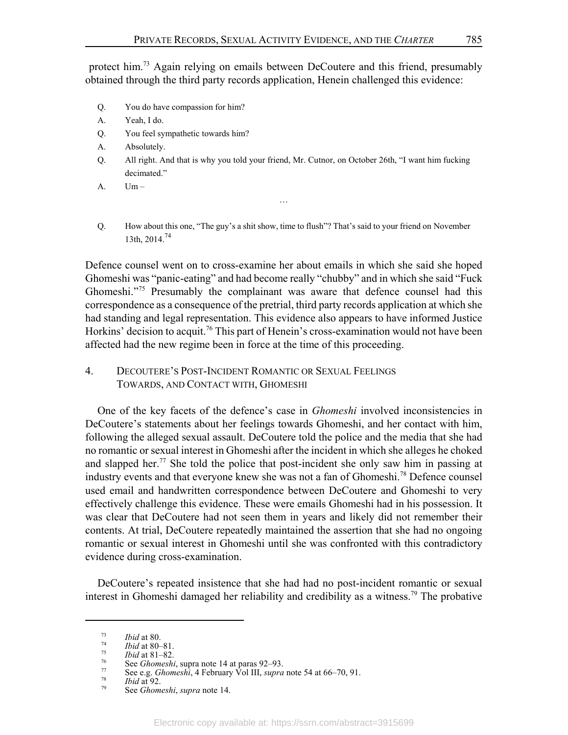protect him.<sup>73</sup> Again relying on emails between DeCoutere and this friend, presumably obtained through the third party records application, Henein challenged this evidence:

- Q. You do have compassion for him?
- A. Yeah. I do.
- Q. You feel sympathetic towards him?
- Absolutely. A.
- O. All right. And that is why you told your friend, Mr. Cutnor, on October 26th, "I want him fucking decimated."

 $\cdots$ 

- $Um A<sub>1</sub>$
- Q. How about this one, "The guy's a shit show, time to flush"? That's said to your friend on November 13th, 2014.<sup>74</sup>

Defence counsel went on to cross-examine her about emails in which she said she hoped Ghomeshi was "panic-eating" and had become really "chubby" and in which she said "Fuck Ghomeshi."<sup>75</sup> Presumably the complainant was aware that defence counsel had this correspondence as a consequence of the pretrial, third party records application at which she had standing and legal representation. This evidence also appears to have informed Justice Horkins' decision to acquit.<sup>76</sup> This part of Henein's cross-examination would not have been affected had the new regime been in force at the time of this proceeding.

 $\overline{4}$ . **DECOUTERE'S POST-INCIDENT ROMANTIC OR SEXUAL FEELINGS** TOWARDS, AND CONTACT WITH, GHOMESHI

One of the key facets of the defence's case in *Ghomeshi* involved inconsistencies in DeCoutere's statements about her feelings towards Ghomeshi, and her contact with him, following the alleged sexual assault. DeCoutere told the police and the media that she had no romantic or sexual interest in Ghomeshi after the incident in which she alleges he choked and slapped her.<sup>77</sup> She told the police that post-incident she only saw him in passing at industry events and that everyone knew she was not a fan of Ghomeshi.<sup>78</sup> Defence counsel used email and handwritten correspondence between DeCoutere and Ghomeshi to very effectively challenge this evidence. These were emails Ghomeshi had in his possession. It was clear that DeCoutere had not seen them in years and likely did not remember their contents. At trial, DeCoutere repeatedly maintained the assertion that she had no ongoing romantic or sexual interest in Ghomeshi until she was confronted with this contradictory evidence during cross-examination.

DeCoutere's repeated insistence that she had had no post-incident romantic or sexual interest in Ghomeshi damaged her reliability and credibility as a witness.<sup>79</sup> The probative

<sup>73</sup> Ibid at 80.

 $74\,$ Ibid at 80-81. 75

*Ibid* at  $81-82$ . 76

See Ghomeshi, supra note 14 at paras 92-93.  $77$ 

See e.g. *Ghomeshi*, 4 February Vol III, *supra* note 54 at 66–70, 91. 78

*Ibid* at 92.

<sup>79</sup> See Ghomeshi, supra note 14.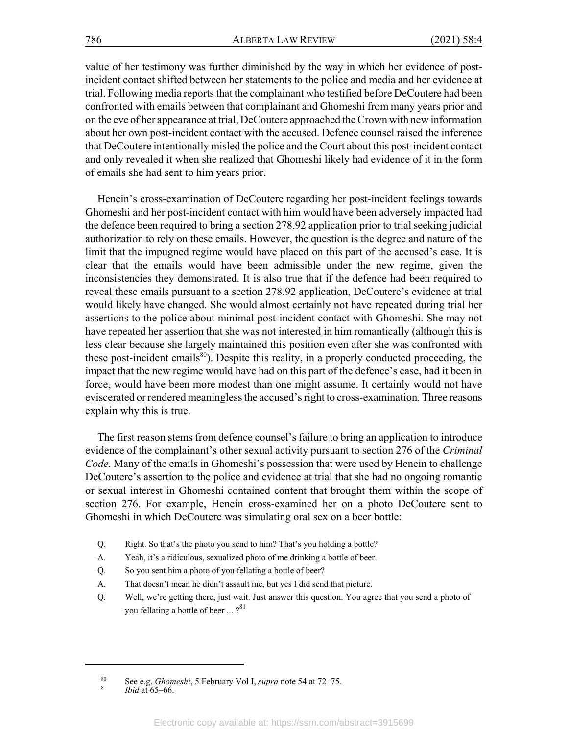value of her testimony was further diminished by the way in which her evidence of postincident contact shifted between her statements to the police and media and her evidence at trial. Following media reports that the complainant who testified before DeCoutere had been confronted with emails between that complainant and Ghomeshi from many years prior and on the eve of her appearance at trial, DeCoutere approached the Crown with new information about her own post-incident contact with the accused. Defence counsel raised the inference that DeCoutere intentionally misled the police and the Court about this post-incident contact and only revealed it when she realized that Ghomeshi likely had evidence of it in the form of emails she had sent to him years prior.

Henein's cross-examination of DeCoutere regarding her post-incident feelings towards Ghomeshi and her post-incident contact with him would have been adversely impacted had the defence been required to bring a section 278.92 application prior to trial seeking judicial authorization to rely on these emails. However, the question is the degree and nature of the limit that the impugned regime would have placed on this part of the accused's case. It is clear that the emails would have been admissible under the new regime, given the inconsistencies they demonstrated. It is also true that if the defence had been required to reveal these emails pursuant to a section 278.92 application, DeCoutere's evidence at trial would likely have changed. She would almost certainly not have repeated during trial her assertions to the police about minimal post-incident contact with Ghomeshi. She may not have repeated her assertion that she was not interested in him romantically (although this is less clear because she largely maintained this position even after she was confronted with these post-incident emails<sup>80</sup>). Despite this reality, in a properly conducted proceeding, the impact that the new regime would have had on this part of the defence's case, had it been in force, would have been more modest than one might assume. It certainly would not have eviscerated or rendered meaningless the accused's right to cross-examination. Three reasons explain why this is true.

The first reason stems from defence counsel's failure to bring an application to introduce evidence of the complainant's other sexual activity pursuant to section 276 of the *Criminal Code*. Many of the emails in Ghomeshi's possession that were used by Henein to challenge DeCoutere's assertion to the police and evidence at trial that she had no ongoing romantic or sexual interest in Ghomeshi contained content that brought them within the scope of section 276. For example, Henein cross-examined her on a photo DeCoutere sent to Ghomeshi in which DeCoutere was simulating oral sex on a beer bottle:

- Q. Right. So that's the photo you send to him? That's you holding a bottle?
- A. Yeah, it's a ridiculous, sexualized photo of me drinking a bottle of beer.
- Q. So you sent him a photo of you fellating a bottle of beer?
- $A.$ That doesn't mean he didn't assault me, but yes I did send that picture.
- Q. Well, we're getting there, just wait. Just answer this question. You agree that you send a photo of you fellating a bottle of beer ...  $?^{81}$

<sup>80</sup> See e.g. Ghomeshi, 5 February Vol I, supra note 54 at 72-75.

<sup>81</sup> *Ibid* at 65-66.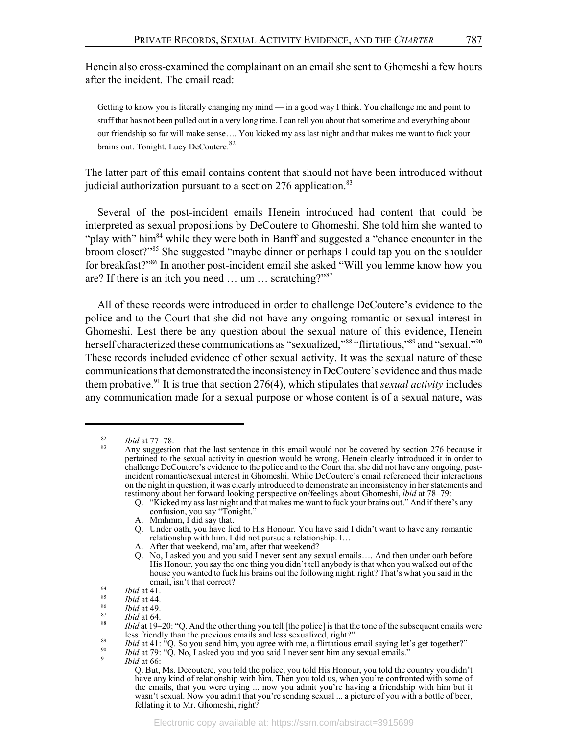Henein also cross-examined the complainant on an email she sent to Ghomeshi a few hours after the incident. The email read:

Getting to know you is literally changing my mind — in a good way I think. You challenge me and point to stuff that has not been pulled out in a very long time. I can tell you about that sometime and everything about our friendship so far will make sense.... You kicked my ass last night and that makes me want to fuck your brains out. Tonight. Lucy DeCoutere.<sup>82</sup>

The latter part of this email contains content that should not have been introduced without judicial authorization pursuant to a section 276 application.<sup>83</sup>

Several of the post-incident emails Henein introduced had content that could be interpreted as sexual propositions by DeCoutere to Ghomeshi. She told him she wanted to "play with" him<sup>84</sup> while they were both in Banff and suggested a "chance encounter in the broom closet?"<sup>85</sup> She suggested "maybe dinner or perhaps I could tap you on the shoulder for breakfast?"<sup>86</sup> In another post-incident email she asked "Will you lemme know how you are? If there is an itch you need ... um ... scratching?"<sup>87</sup>

All of these records were introduced in order to challenge DeCoutere's evidence to the police and to the Court that she did not have any ongoing romantic or sexual interest in Ghomeshi. Lest there be any question about the sexual nature of this evidence, Henein herself characterized these communications as "sexualized,"<sup>88</sup> "flirtatious,"<sup>89</sup> and "sexual."<sup>90</sup> These records included evidence of other sexual activity. It was the sexual nature of these communications that demonstrated the inconsistency in DeCoutere's evidence and thus made them probative.<sup>91</sup> It is true that section 276(4), which stipulates that *sexual activity* includes any communication made for a sexual purpose or whose content is of a sexual nature, was

Ibid at 49.

<sup>82</sup> *Ibid* at 77–78. 83

Any suggestion that the last sentence in this email would not be covered by section 276 because it pertained to the sexual activity in question would be wrong. Henein clearly introduced it in order to challenge DeCoutere's evidence to the police and to the Court that she did not have any ongoing, postincident romantic/sexual interest in Ghomeshi. While DeCoutere's email referenced their interactions on the night in question, it was clearly introduced to demonstrate an inconsistency in her statements and testimony about her forward looking perspective on/feelings about Ghomeshi, *ibid* at 78–79:<br>Q. "Kicked my ass last night and that makes me want to fuck your brains out." And if there's any

confusion, you say "Tonight."

A. Mmhmm, I did say that.

Q. Under oath, you have lied to His Honour. You have said I didn't want to have any romantic relationship with him. I did not pursue a relationship. I...

A. After that weekend, ma'am, after that weekend?

Q. No, I asked you and you said I never sent any sexual emails.... And then under oath before His Honour, you say the one thing you didn't tell anybody is that when you walked out of the house you wanted to fuck his brains out the following night, right? That's what you said in the email, isn't that correct?

<sup>84</sup> Ibid at 41. 85

Ibid at 44. 86

 $\bf 87$ Ibid at 64. 88

Ibid at 19-20: "Q. And the other thing you tell [the police] is that the tone of the subsequent emails were less friendly than the previous emails and less sexualized, right?"

<sup>89</sup> *Ibid* at 41: "Q. So you send him, you agree with me, a flirtatious email saying let's get together?"<br>*Ibid* at 79: "Q. No, I asked you and you said I never sent him any sexual emails."

<sup>90</sup> 

<sup>91</sup> *Ibid* at 66:

Q. But, Ms. Decoutere, you told the police, you told His Honour, you told the country you didn't have any kind of relationship with him. Then you told us, when you're confronted with some of the emails, that you were trying ... now you admit you're having a friendship with him but it wasn't sexual. Now you admit that you're sending sexual ... a picture of you with a bottle of beer, fellating it to Mr. Ghomeshi, right?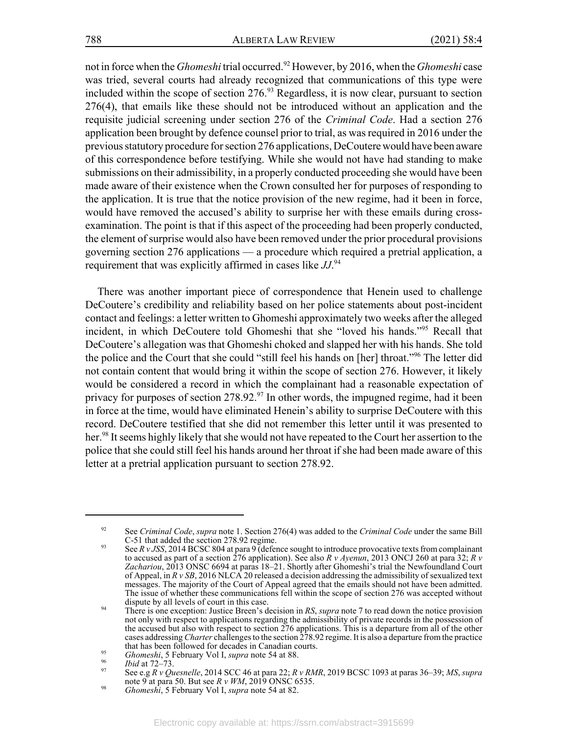not in force when the *Ghomeshi* trial occurred.<sup>92</sup> However, by 2016, when the *Ghomeshi* case was tried, several courts had already recognized that communications of this type were included within the scope of section  $276.93$  Regardless, it is now clear, pursuant to section  $276(4)$ , that emails like these should not be introduced without an application and the requisite judicial screening under section 276 of the Criminal Code. Had a section 276 application been brought by defence counsel prior to trial, as was required in 2016 under the previous statutory procedure for section 276 applications, DeCoutere would have been aware of this correspondence before testifying. While she would not have had standing to make submissions on their admissibility, in a properly conducted proceeding she would have been made aware of their existence when the Crown consulted her for purposes of responding to the application. It is true that the notice provision of the new regime, had it been in force, would have removed the accused's ability to surprise her with these emails during crossexamination. The point is that if this aspect of the proceeding had been properly conducted, the element of surprise would also have been removed under the prior procedural provisions governing section 276 applications — a procedure which required a pretrial application, a requirement that was explicitly affirmed in cases like  $JJ$ .<sup>94</sup>

There was another important piece of correspondence that Henein used to challenge DeCoutere's credibility and reliability based on her police statements about post-incident contact and feelings: a letter written to Ghomeshi approximately two weeks after the alleged incident, in which DeCoutere told Ghomeshi that she "loved his hands."<sup>95</sup> Recall that DeCoutere's allegation was that Ghomeshi choked and slapped her with his hands. She told the police and the Court that she could "still feel his hands on [her] throat."<sup>96</sup> The letter did not contain content that would bring it within the scope of section 276. However, it likely would be considered a record in which the complainant had a reasonable expectation of privacy for purposes of section 278.92.<sup>97</sup> In other words, the impugned regime, had it been in force at the time, would have eliminated Henein's ability to surprise DeCoutere with this record. DeCoutere testified that she did not remember this letter until it was presented to her.<sup>98</sup> It seems highly likely that she would not have repeated to the Court her assertion to the police that she could still feel his hands around her throat if she had been made aware of this letter at a pretrial application pursuant to section 278.92.

<sup>92</sup> See Criminal Code, supra note 1. Section 276(4) was added to the Criminal Code under the same Bill C-51 that added the section 278.92 regime.

<sup>93</sup> See  $R v JSS$ , 2014 BCSC 804 at para 9 (defence sought to introduce provocative texts from complainant to accused as part of a section 276 application). See also  $R v Ayenun$ , 2013 ONCJ 260 at para 32;  $R v$ Zachariou, 2013 ONSC 6694 at paras 18–21. Shortly after Ghomeshi's trial the Newfoundland Court<br>of Appeal, in  $R v SB$ , 2016 NLCA 20 released a decision addressing the admissibility of sexualized text messages. The majority of the Court of Appeal agreed that the emails should not have been admitted. The issue of whether these communications fell within the scope of section 276 was accepted without dispute by all levels of court in this case.

<sup>94</sup> There is one exception: Justice Breen's decision in RS, supra note 7 to read down the notice provision not only with respect to applications regarding the admissibility of private records in the possession of the accused but also with respect to section 276 applications. This is a departure from all of the other cases addressing *Charter* challenges to the section 278.92 regime. It is also a departure from the practice that has been followed for decades in Canadian courts. 95

Ghomeshi, 5 February Vol I, supra note 54 at 88.

Ibid at 72-73. 97

See e.g  $R$  v Quesnelle, 2014 SCC 46 at para 22;  $R$  v RMR, 2019 BCSC 1093 at paras 36–39; MS, supra note 9 at para 50. But see  $R$  v WM, 2019 ONSC 6535.

<sup>98</sup> Ghomeshi, 5 February Vol I, supra note 54 at 82.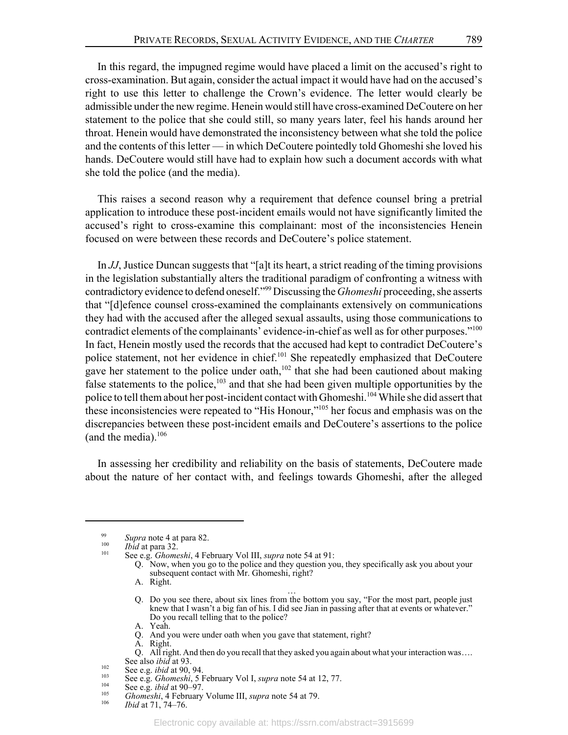In this regard, the impugned regime would have placed a limit on the accused's right to cross-examination. But again, consider the actual impact it would have had on the accused's right to use this letter to challenge the Crown's evidence. The letter would clearly be admissible under the new regime. Henein would still have cross-examined DeCoutere on her statement to the police that she could still, so many years later, feel his hands around her throat. Henein would have demonstrated the inconsistency between what she told the police and the contents of this letter — in which DeCoutere pointedly told Ghomeshi she loved his hands. DeCoutere would still have had to explain how such a document accords with what she told the police (and the media).

This raises a second reason why a requirement that defence counsel bring a pretrial application to introduce these post-incident emails would not have significantly limited the accused's right to cross-examine this complainant: most of the inconsistencies Henein focused on were between these records and DeCoutere's police statement.

In JJ, Justice Duncan suggests that "[a]t its heart, a strict reading of the timing provisions in the legislation substantially alters the traditional paradigm of confronting a witness with contradictory evidence to defend oneself."<sup>99</sup> Discussing the *Ghomeshi* proceeding, she asserts that "[d]efence counsel cross-examined the complainants extensively on communications they had with the accused after the alleged sexual assaults, using those communications to contradict elements of the complainants' evidence-in-chief as well as for other purposes."<sup>100</sup> In fact, Henein mostly used the records that the accused had kept to contradict DeCoutere's police statement, not her evidence in chief.<sup>101</sup> She repeatedly emphasized that DeCoutere gave her statement to the police under oath,  $102$  that she had been cautioned about making false statements to the police,  $^{103}$  and that she had been given multiple opportunities by the police to tell them about her post-incident contact with Ghomeshi.<sup>104</sup> While she did assert that these inconsistencies were repeated to "His Honour,"<sup>105</sup> her focus and emphasis was on the discrepancies between these post-incident emails and DeCoutere's assertions to the police (and the media). $106$ 

In assessing her credibility and reliability on the basis of statements, DeCoutere made about the nature of her contact with, and feelings towards Ghomeshi, after the alleged

- Q. Now, when you go to the police and they question you, they specifically ask you about your subsequent contact with Mr. Ghomeshi, right?
- A. Right.
- Q. Do you see there, about six lines from the bottom you say, "For the most part, people just knew that I wasn't a big fan of his. I did see Jian in passing after that at events or whatever." Do you recall telling that to the police?
- A. Yeah.
- Q. And you were under oath when you gave that statement, right?

Q. All right. And then do you recall that they asked you again about what your interaction was... See also *ibid* at 93.

- 104 See e.g. *ibid* at 90-97.
- 105 Ghomeshi, 4 February Volume III, supra note 54 at 79.
- 106 Ibid at 71, 74-76.

<sup>99</sup> Supra note 4 at para 82. 100

*Ibid* at para 32. 101

See e.g. Ghomeshi, 4 February Vol III, supra note 54 at 91:

A. Right.

<sup>102</sup> See e.g. ibid at 90, 94

<sup>103</sup> See e.g. Ghomeshi, 5 February Vol I, supra note 54 at 12, 77.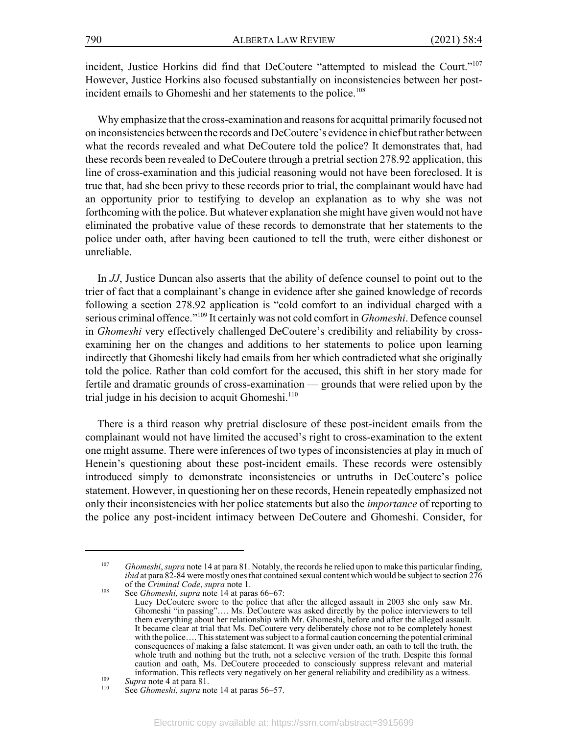incident, Justice Horkins did find that DeCoutere "attempted to mislead the Court."107 However, Justice Horkins also focused substantially on inconsistencies between her postincident emails to Ghomeshi and her statements to the police.<sup>108</sup>

Why emphasize that the cross-examination and reasons for acquittal primarily focused not on inconsistencies between the records and DeCoutere's evidence in chief but rather between what the records revealed and what DeCoutere told the police? It demonstrates that, had these records been revealed to DeCoutere through a pretrial section 278.92 application, this line of cross-examination and this judicial reasoning would not have been foreclosed. It is true that, had she been privy to these records prior to trial, the complainant would have had an opportunity prior to testifying to develop an explanation as to why she was not forthcoming with the police. But whatever explanation she might have given would not have eliminated the probative value of these records to demonstrate that her statements to the police under oath, after having been cautioned to tell the truth, were either dishonest or unreliable.

In JJ, Justice Duncan also asserts that the ability of defence counsel to point out to the trier of fact that a complainant's change in evidence after she gained knowledge of records following a section 278.92 application is "cold comfort to an individual charged with a serious criminal offence."<sup>109</sup> It certainly was not cold comfort in *Ghomeshi*. Defence counsel in Ghomeshi very effectively challenged DeCoutere's credibility and reliability by crossexamining her on the changes and additions to her statements to police upon learning indirectly that Ghomeshi likely had emails from her which contradicted what she originally told the police. Rather than cold comfort for the accused, this shift in her story made for fertile and dramatic grounds of cross-examination — grounds that were relied upon by the trial judge in his decision to acquit Ghomeshi.<sup>110</sup>

There is a third reason why pretrial disclosure of these post-incident emails from the complainant would not have limited the accused's right to cross-examination to the extent one might assume. There were inferences of two types of inconsistencies at play in much of Henein's questioning about these post-incident emails. These records were ostensibly introduced simply to demonstrate inconsistencies or untruths in DeCoutere's police statement. However, in questioning her on these records, Henein repeatedly emphasized not only their inconsistencies with her police statements but also the *importance* of reporting to the police any post-incident intimacy between DeCoutere and Ghomeshi. Consider, for

<sup>107</sup> Ghomeshi, supra note 14 at para 81. Notably, the records he relied upon to make this particular finding, *ibid* at para 82-84 were mostly ones that contained sexual content which would be subject to section  $276$ of the *Criminal Code*, *supra* note 1.

<sup>108</sup> See Ghomeshi, supra note 14 at paras 66–67:

Lucy DeCoutere swore to the police that after the alleged assault in 2003 she only saw Mr. Ghomeshi "in passing".... Ms. DeCoutere was asked directly by the police interviewers to tell<br>them everything about her relationship with Mr. Ghomeshi, before and after the alleged assault. It became clear at trial that Ms. DeCoutere very deliberately chose not to be completely honest with the police.... This statement was subject to a formal caution concerning the potential criminal consequences of making a false statement. It was given under oath, an oath to tell the truth, the whole truth and nothing but the truth, not a selective version of the truth. Despite this formal caution and oath, Ms. DeCoutere proceeded to consciously suppress relevant and material information. This reflects very negatively on her general reliability and credibility as a witness.

<sup>109</sup> Supra note 4 at para 81. 110

See *Ghomeshi*, *supra* note 14 at paras 56–57.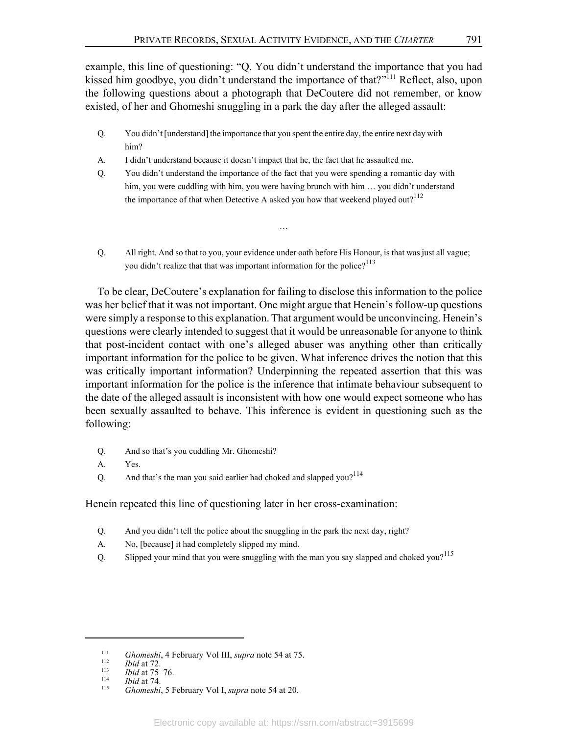example, this line of questioning: "Q. You didn't understand the importance that you had kissed him goodbye, you didn't understand the importance of that?"<sup>111</sup> Reflect, also, upon the following questions about a photograph that DeCoutere did not remember, or know existed, of her and Ghomeshi snuggling in a park the day after the alleged assault:

- Q. You didn't [understand] the importance that you spent the entire day, the entire next day with him?
- I didn't understand because it doesn't impact that he, the fact that he assaulted me. A.
- Q. You didn't understand the importance of the fact that you were spending a romantic day with him, you were cuddling with him, you were having brunch with him ... you didn't understand the importance of that when Detective A asked you how that weekend played out?<sup>112</sup>

All right. And so that to you, your evidence under oath before His Honour, is that was just all vague;  $Q<sub>r</sub>$ you didn't realize that that was important information for the police?<sup>113</sup>

 $\ddotsc$ 

To be clear, DeCoutere's explanation for failing to disclose this information to the police was her belief that it was not important. One might argue that Henein's follow-up questions were simply a response to this explanation. That argument would be unconvincing. Henein's questions were clearly intended to suggest that it would be unreasonable for anyone to think that post-incident contact with one's alleged abuser was anything other than critically important information for the police to be given. What inference drives the notion that this was critically important information? Underpinning the repeated assertion that this was important information for the police is the inference that intimate behaviour subsequent to the date of the alleged assault is inconsistent with how one would expect someone who has been sexually assaulted to behave. This inference is evident in questioning such as the following:

- Q. And so that's you cuddling Mr. Ghomeshi?
- A. Yes.
- And that's the man you said earlier had choked and slapped you?<sup>114</sup> Q.

Henein repeated this line of questioning later in her cross-examination:

- Q. And you didn't tell the police about the snuggling in the park the next day, right?
- No, [because] it had completely slipped my mind. А.
- Slipped your mind that you were snuggling with the man you say slapped and choked you?<sup>115</sup> Q.

 $111$ Ghomeshi, 4 February Vol III, supra note 54 at 75.

<sup>112</sup> Ibid at 72.  $113$ 

Ibid at 75-76. 114

Ibid at 74.

<sup>115</sup> Ghomeshi, 5 February Vol I, supra note 54 at 20.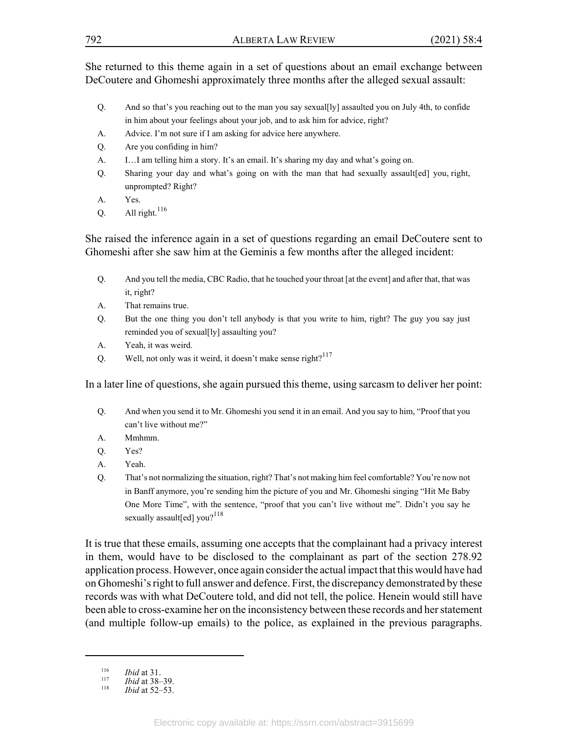She returned to this theme again in a set of questions about an email exchange between DeCoutere and Ghomeshi approximately three months after the alleged sexual assault:

- Q. And so that's you reaching out to the man you say sexual[ly] assaulted you on July 4th, to confide in him about your feelings about your job, and to ask him for advice, right?
- Advice. I'm not sure if I am asking for advice here anywhere. A.
- Are you confiding in him?  $Q<sub>r</sub>$
- I...I am telling him a story. It's an email. It's sharing my day and what's going on. A.
- $Q<sub>r</sub>$ Sharing your day and what's going on with the man that had sexually assault[ed] you, right, unprompted? Right?
- Yes. A.
- All right.<sup>116</sup> Q.

She raised the inference again in a set of questions regarding an email DeCoutere sent to Ghomeshi after she saw him at the Geminis a few months after the alleged incident:

- Q. And you tell the media, CBC Radio, that he touched your throat [at the event] and after that, that was it, right?
- A. That remains true.
- But the one thing you don't tell anybody is that you write to him, right? The guy you say just  $O<sub>1</sub>$ reminded you of sexual[ly] assaulting you?
- A. Yeah, it was weird.
- Well, not only was it weird, it doesn't make sense right?<sup>117</sup> O.

In a later line of questions, she again pursued this theme, using sarcasm to deliver her point:

- O. And when you send it to Mr. Ghomeshi you send it in an email. And you say to him, "Proof that you can't live without me?"
- Mmhmm. А.
- Q. Yes?
- А. Yeah.
- Q. That's not normalizing the situation, right? That's not making him feel comfortable? You're now not in Banff anymore, you're sending him the picture of you and Mr. Ghomeshi singing "Hit Me Baby One More Time", with the sentence, "proof that you can't live without me". Didn't you say he sexually assault[ed] you? $118$

It is true that these emails, assuming one accepts that the complainant had a privacy interest in them, would have to be disclosed to the complainant as part of the section 278.92 application process. However, once again consider the actual impact that this would have had on Ghomeshi's right to full answer and defence. First, the discrepancy demonstrated by these records was with what DeCoutere told, and did not tell, the police. Henein would still have been able to cross-examine her on the inconsistency between these records and her statement (and multiple follow-up emails) to the police, as explained in the previous paragraphs.

<sup>116</sup> *Ibid* at 31. 117

*Ibid* at 38-39. 118

*Ibid* at 52-53.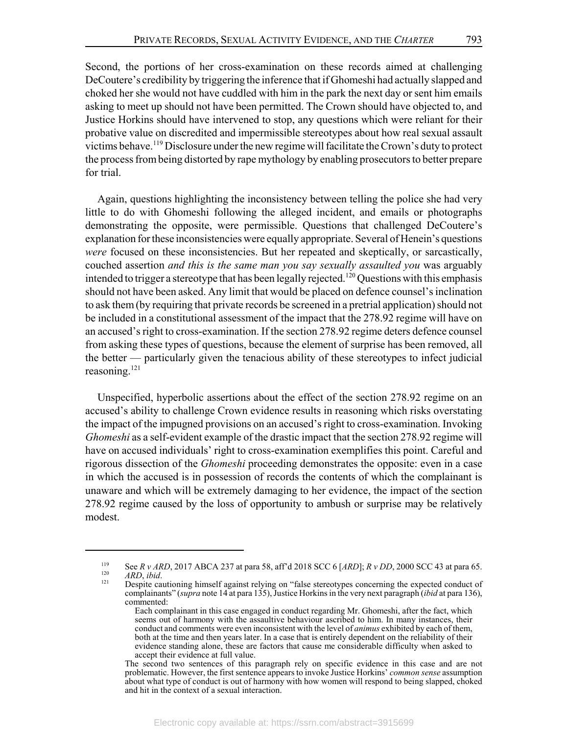Second, the portions of her cross-examination on these records aimed at challenging DeCoutere's credibility by triggering the inference that if Ghomeshi had actually slapped and choked her she would not have cuddled with him in the park the next day or sent him emails asking to meet up should not have been permitted. The Crown should have objected to, and Justice Horkins should have intervened to stop, any questions which were reliant for their probative value on discredited and impermissible stereotypes about how real sexual assault victims behave.<sup>119</sup> Disclosure under the new regime will facilitate the Crown's duty to protect the process from being distorted by rape mythology by enabling prosecutors to better prepare for trial.

Again, questions highlighting the inconsistency between telling the police she had very little to do with Ghomeshi following the alleged incident, and emails or photographs demonstrating the opposite, were permissible. Questions that challenged DeCoutere's explanation for these inconsistencies were equally appropriate. Several of Henein's questions were focused on these inconsistencies. But her repeated and skeptically, or sarcastically, couched assertion and this is the same man you say sexually assaulted you was arguably intended to trigger a stereotype that has been legally rejected.<sup>120</sup> Questions with this emphasis should not have been asked. Any limit that would be placed on defence counsel's inclination to ask them (by requiring that private records be screened in a pretrial application) should not be included in a constitutional assessment of the impact that the 278.92 regime will have on an accused's right to cross-examination. If the section 278.92 regime deters defence counsel from asking these types of questions, because the element of surprise has been removed, all the better — particularly given the tenacious ability of these stereotypes to infect judicial reasoning. $^{121}$ 

Unspecified, hyperbolic assertions about the effect of the section 278.92 regime on an accused's ability to challenge Crown evidence results in reasoning which risks overstating the impact of the impugned provisions on an accused's right to cross-examination. Invoking *Ghomeshi* as a self-evident example of the drastic impact that the section 278.92 regime will have on accused individuals' right to cross-examination exemplifies this point. Careful and rigorous dissection of the *Ghomeshi* proceeding demonstrates the opposite: even in a case in which the accused is in possession of records the contents of which the complainant is unaware and which will be extremely damaging to her evidence, the impact of the section 278.92 regime caused by the loss of opportunity to ambush or surprise may be relatively modest.

<sup>119</sup> See R v ARD, 2017 ABCA 237 at para 58, aff'd 2018 SCC 6 [ARD]; R v DD, 2000 SCC 43 at para 65. 120 ARD, ibid.

<sup>121</sup> Despite cautioning himself against relying on "false stereotypes concerning the expected conduct of complainants" (supra note 14 at para 135), Justice Horkins in the very next paragraph (ibid at para 136), commented:

Each complainant in this case engaged in conduct regarding Mr. Ghomeshi, after the fact, which seems out of harmony with the assaultive behaviour ascribed to him. In many instances, their conduct and comments were even inconsistent with the level of *animus* exhibited by each of them, both at the time and then years later. In a case that is entirely dependent on the reliability of their evidence standing alone, these are factors that cause me considerable difficulty when asked to accept their evidence at full value.

The second two sentences of this paragraph rely on specific evidence in this case and are not problematic. However, the first sentence appears to invoke Justice Horkins' common sense assumption about what type of conduct is out of harmony with how women will respond to being slapped, choked and hit in the context of a sexual interaction.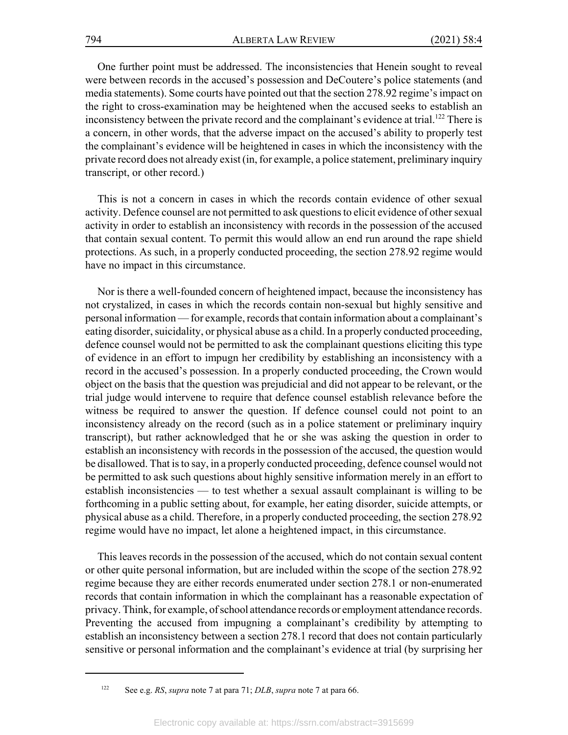One further point must be addressed. The inconsistencies that Henein sought to reveal were between records in the accused's possession and DeCoutere's police statements (and media statements). Some courts have pointed out that the section 278.92 regime's impact on the right to cross-examination may be heightened when the accused seeks to establish an inconsistency between the private record and the complainant's evidence at trial.<sup>122</sup> There is a concern, in other words, that the adverse impact on the accused's ability to properly test the complainant's evidence will be heightened in cases in which the inconsistency with the private record does not already exist (in, for example, a police statement, preliminary inquiry transcript, or other record.)

This is not a concern in cases in which the records contain evidence of other sexual activity. Defence counsel are not permitted to ask questions to elicit evidence of other sexual activity in order to establish an inconsistency with records in the possession of the accused that contain sexual content. To permit this would allow an end run around the rape shield protections. As such, in a properly conducted proceeding, the section 278.92 regime would have no impact in this circumstance.

Nor is there a well-founded concern of heightened impact, because the inconsistency has not crystalized, in cases in which the records contain non-sexual but highly sensitive and personal information — for example, records that contain information about a complainant's eating disorder, suicidality, or physical abuse as a child. In a properly conducted proceeding, defence counsel would not be permitted to ask the complainant questions eliciting this type of evidence in an effort to impugn her credibility by establishing an inconsistency with a record in the accused's possession. In a properly conducted proceeding, the Crown would object on the basis that the question was prejudicial and did not appear to be relevant, or the trial judge would intervene to require that defence counsel establish relevance before the witness be required to answer the question. If defence counsel could not point to an inconsistency already on the record (such as in a police statement or preliminary inquiry transcript), but rather acknowledged that he or she was asking the question in order to establish an inconsistency with records in the possession of the accused, the question would be disallowed. That is to say, in a properly conducted proceeding, defence counsel would not be permitted to ask such questions about highly sensitive information merely in an effort to establish inconsistencies — to test whether a sexual assault complainant is willing to be forthcoming in a public setting about, for example, her eating disorder, suicide attempts, or physical abuse as a child. Therefore, in a properly conducted proceeding, the section 278.92 regime would have no impact, let alone a heightened impact, in this circumstance.

This leaves records in the possession of the accused, which do not contain sexual content or other quite personal information, but are included within the scope of the section 278.92 regime because they are either records enumerated under section 278.1 or non-enumerated records that contain information in which the complainant has a reasonable expectation of privacy. Think, for example, of school attendance records or employment attendance records. Preventing the accused from impugning a complainant's credibility by attempting to establish an inconsistency between a section 278.1 record that does not contain particularly sensitive or personal information and the complainant's evidence at trial (by surprising her

<sup>122</sup> See e.g. RS, supra note 7 at para 71; DLB, supra note 7 at para 66.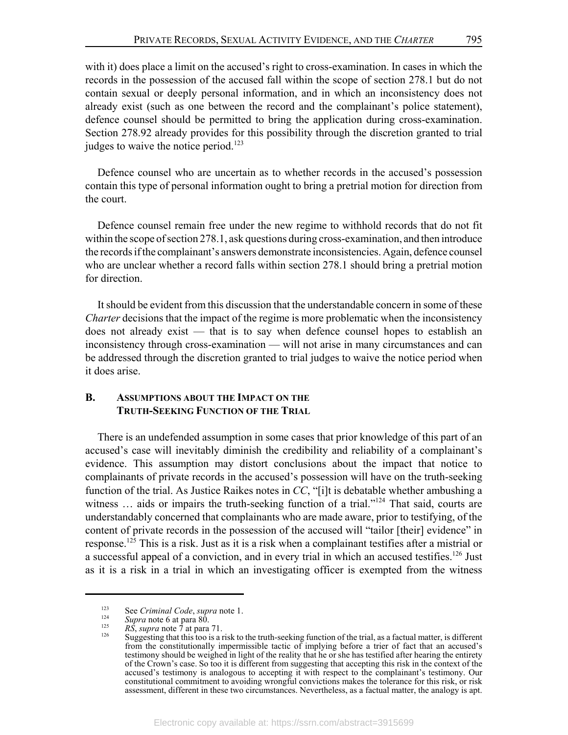with it) does place a limit on the accused's right to cross-examination. In cases in which the records in the possession of the accused fall within the scope of section 278.1 but do not contain sexual or deeply personal information, and in which an inconsistency does not already exist (such as one between the record and the complainant's police statement), defence counsel should be permitted to bring the application during cross-examination. Section 278.92 already provides for this possibility through the discretion granted to trial judges to waive the notice period. $^{123}$ 

Defence counsel who are uncertain as to whether records in the accused's possession contain this type of personal information ought to bring a pretrial motion for direction from the court.

Defence counsel remain free under the new regime to withhold records that do not fit within the scope of section 278.1, ask questions during cross-examination, and then introduce the records if the complainant's answers demonstrate inconsistencies. Again, defence counsel who are unclear whether a record falls within section 278.1 should bring a pretrial motion for direction.

It should be evident from this discussion that the understandable concern in some of these *Charter* decisions that the impact of the regime is more problematic when the inconsistency does not already exist  $-$  that is to say when defence counsel hopes to establish an inconsistency through cross-examination — will not arise in many circumstances and can be addressed through the discretion granted to trial judges to waive the notice period when it does arise.

#### $\mathbf{R}$ . **ASSUMPTIONS ABOUT THE IMPACT ON THE TRUTH-SEEKING FUNCTION OF THE TRIAL**

There is an undefended assumption in some cases that prior knowledge of this part of an accused's case will inevitably diminish the credibility and reliability of a complainant's evidence. This assumption may distort conclusions about the impact that notice to complainants of private records in the accused's possession will have on the truth-seeking function of the trial. As Justice Raikes notes in CC, "[i]t is debatable whether ambushing a witness ... aids or impairs the truth-seeking function of a trial."<sup>124</sup> That said, courts are understandably concerned that complainants who are made aware, prior to testifying, of the content of private records in the possession of the accused will "tailor [their] evidence" in response.<sup>125</sup> This is a risk. Just as it is a risk when a complainant testifies after a mistrial or a successful appeal of a conviction, and in every trial in which an accused testifies.<sup>126</sup> Just as it is a risk in a trial in which an investigating officer is exempted from the witness

<sup>123</sup> See Criminal Code, supra note 1.

<sup>124</sup> Supra note 6 at para 80.

<sup>125</sup>  $R\hat{S}$ , *supra* note  $\hat{7}$  at para 71.

Suggesting that this too is a risk to the truth-seeking function of the trial, as a factual matter, is different<br>from the constitutionally impermissible tactic of implying before a trier of fact that an accused's<br>testimony 126 of the Crown's case. So too it is different from suggesting that accepting this risk in the context of the accused's testimony is analogous to accepting it with respect to the complainant's testimony. Our constitutional commitment to avoiding wrongful convictions makes the tolerance for this risk, or risk assessment, different in these two circumstances. Nevertheless, as a factual matter, the analogy is apt.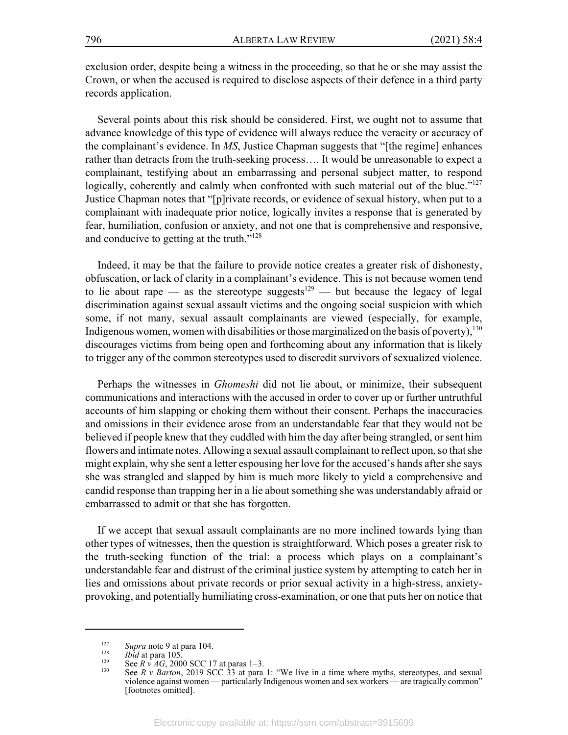exclusion order, despite being a witness in the proceeding, so that he or she may assist the Crown, or when the accused is required to disclose aspects of their defence in a third party records application.

Several points about this risk should be considered. First, we ought not to assume that advance knowledge of this type of evidence will always reduce the veracity or accuracy of the complainant's evidence. In MS, Justice Chapman suggests that "[the regime] enhances rather than detracts from the truth-seeking process.... It would be unreasonable to expect a complainant, testifying about an embarrassing and personal subject matter, to respond logically, coherently and calmly when confronted with such material out of the blue."<sup>127</sup> Justice Chapman notes that "[p]rivate records, or evidence of sexual history, when put to a complainant with inadequate prior notice, logically invites a response that is generated by fear, humiliation, confusion or anxiety, and not one that is comprehensive and responsive, and conducive to getting at the truth."<sup>128</sup>

Indeed, it may be that the failure to provide notice creates a greater risk of dishonesty, obfuscation, or lack of clarity in a complainant's evidence. This is not because women tend to lie about rape — as the stereotype suggests<sup>129</sup> — but because the legacy of legal discrimination against sexual assault victims and the ongoing social suspicion with which some, if not many, sexual assault complainants are viewed (especially, for example, Indigenous women, women with disabilities or those marginalized on the basis of poverty),<sup>130</sup> discourages victims from being open and forthcoming about any information that is likely to trigger any of the common stereotypes used to discredit survivors of sexualized violence.

Perhaps the witnesses in *Ghomeshi* did not lie about, or minimize, their subsequent communications and interactions with the accused in order to cover up or further untruthful accounts of him slapping or choking them without their consent. Perhaps the inaccuracies and omissions in their evidence arose from an understandable fear that they would not be believed if people knew that they cuddled with him the day after being strangled, or sent him flowers and intimate notes. Allowing a sexual assault complainant to reflect upon, so that she might explain, why she sent a letter espousing her love for the accused's hands after she says she was strangled and slapped by him is much more likely to yield a comprehensive and candid response than trapping her in a lie about something she was understandably afraid or embarrassed to admit or that she has forgotten.

If we accept that sexual assault complainants are no more inclined towards lying than other types of witnesses, then the question is straightforward. Which poses a greater risk to the truth-seeking function of the trial: a process which plays on a complainant's understandable fear and distrust of the criminal justice system by attempting to catch her in lies and omissions about private records or prior sexual activity in a high-stress, anxietyprovoking, and potentially humiliating cross-examination, or one that puts her on notice that

<sup>127</sup> Supra note 9 at para 104.

<sup>128</sup> Ibid at para 105.

<sup>129</sup> See  $R \dot{v} A G$ , 2000 SCC 17 at paras 1-3.

<sup>130</sup> See R v Barton, 2019 SCC 33 at para 1: "We live in a time where myths, stereotypes, and sexual violence against women — particularly Indigenous women and sex workers — are tragically common" [footnotes omitted].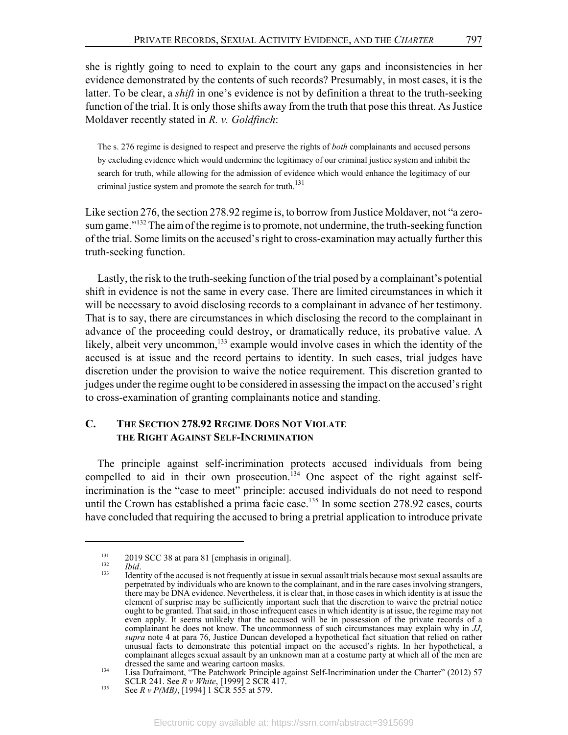797

she is rightly going to need to explain to the court any gaps and inconsistencies in her evidence demonstrated by the contents of such records? Presumably, in most cases, it is the latter. To be clear, a *shift* in one's evidence is not by definition a threat to the truth-seeking function of the trial. It is only those shifts away from the truth that pose this threat. As Justice Moldaver recently stated in  $R$ .  $\nu$ . Goldfinch:

The s. 276 regime is designed to respect and preserve the rights of *both* complainants and accused persons by excluding evidence which would undermine the legitimacy of our criminal justice system and inhibit the search for truth, while allowing for the admission of evidence which would enhance the legitimacy of our criminal justice system and promote the search for truth.<sup>131</sup>

Like section 276, the section 278.92 regime is, to borrow from Justice Moldaver, not "a zerosum game."<sup>132</sup> The aim of the regime is to promote, not undermine, the truth-seeking function of the trial. Some limits on the accused's right to cross-examination may actually further this truth-seeking function.

Lastly, the risk to the truth-seeking function of the trial posed by a complainant's potential shift in evidence is not the same in every case. There are limited circumstances in which it will be necessary to avoid disclosing records to a complainant in advance of her testimony. That is to say, there are circumstances in which disclosing the record to the complainant in advance of the proceeding could destroy, or dramatically reduce, its probative value. A likely, albeit very uncommon,<sup>133</sup> example would involve cases in which the identity of the accused is at issue and the record pertains to identity. In such cases, trial judges have discretion under the provision to waive the notice requirement. This discretion granted to judges under the regime ought to be considered in assessing the impact on the accused's right to cross-examination of granting complainants notice and standing.

#### $\mathbf{C}$ . THE SECTION 278.92 REGIME DOES NOT VIOLATE THE RIGHT AGAINST SELF-INCRIMINATION

The principle against self-incrimination protects accused individuals from being compelled to aid in their own prosecution.<sup>134</sup> One aspect of the right against selfincrimination is the "case to meet" principle: accused individuals do not need to respond until the Crown has established a prima facie case.<sup>135</sup> In some section 278.92 cases, courts have concluded that requiring the accused to bring a pretrial application to introduce private

<sup>131</sup> 2019 SCC 38 at para 81 [emphasis in original].

<sup>132</sup> Ibid. 133

Identity of the accused is not frequently at issue in sexual assault trials because most sexual assaults are perpetrated by individuals who are known to the complainant, and in the rare cases involving strangers, there may be DNA evidence. Nevertheless, it is clear that, in those cases in which identity is at issue the element of surprise may be sufficiently important such that the discretion to waive the pretrial notice ought to be granted. That said, in those infrequent cases in which identity is at issue, the regime may not even apply. It seems unlikely that the accused will be in possession of the private records of a complainant he does not know. The uncommonness of such circumstances may explain why in JJ, supra note 4 at para 76, Justice Duncan developed a hypothetical fact situation that relied on rather unusual facts to demonstrate this potential impact on the accused's rights. In her hypothetical, a complainant alleges sexual assault by an unknown man at a costume party at which all of the men are dressed the same and wearing cartoon masks.

<sup>134</sup> Lisa Dufraimont, "The Patchwork Principle against Self-Incrimination under the Charter" (2012) 57 SCLR 241. See R v White, [1999] 2 SCR 417.

<sup>135</sup> See R v P(MB), [1994] 1 SCR 555 at 579.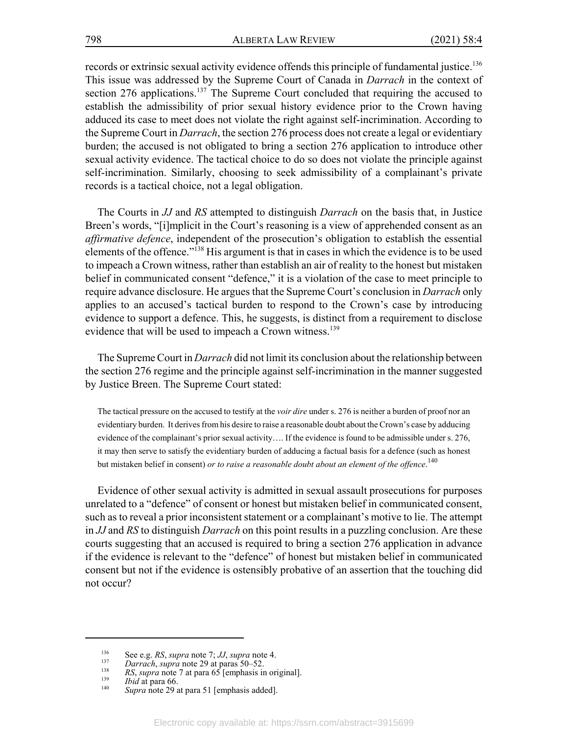records or extrinsic sexual activity evidence offends this principle of fundamental justice.<sup>136</sup> This issue was addressed by the Supreme Court of Canada in Darrach in the context of section 276 applications.<sup>137</sup> The Supreme Court concluded that requiring the accused to establish the admissibility of prior sexual history evidence prior to the Crown having adduced its case to meet does not violate the right against self-incrimination. According to the Supreme Court in *Darrach*, the section 276 process does not create a legal or evidentiary burden; the accused is not obligated to bring a section 276 application to introduce other sexual activity evidence. The tactical choice to do so does not violate the principle against self-incrimination. Similarly, choosing to seek admissibility of a complainant's private records is a tactical choice, not a legal obligation.

The Courts in JJ and RS attempted to distinguish Darrach on the basis that, in Justice Breen's words, "[i]mplicit in the Court's reasoning is a view of apprehended consent as an *affirmative defence*, independent of the prosecution's obligation to establish the essential elements of the offence."<sup>138</sup> His argument is that in cases in which the evidence is to be used to impeach a Crown witness, rather than establish an air of reality to the honest but mistaken belief in communicated consent "defence," it is a violation of the case to meet principle to require advance disclosure. He argues that the Supreme Court's conclusion in *Darrach* only applies to an accused's tactical burden to respond to the Crown's case by introducing evidence to support a defence. This, he suggests, is distinct from a requirement to disclose evidence that will be used to impeach a Crown witness.<sup>139</sup>

The Supreme Court in *Darrach* did not limit its conclusion about the relationship between the section 276 regime and the principle against self-incrimination in the manner suggested by Justice Breen. The Supreme Court stated:

The tactical pressure on the accused to testify at the *voir dire* under s. 276 is neither a burden of proof nor an evidentiary burden. It derives from his desire to raise a reasonable doubt about the Crown's case by adducing evidence of the complainant's prior sexual activity.... If the evidence is found to be admissible under s. 276, it may then serve to satisfy the evidentiary burden of adducing a factual basis for a defence (such as honest but mistaken belief in consent) or to raise a reasonable doubt about an element of the offence.<sup>140</sup>

Evidence of other sexual activity is admitted in sexual assault prosecutions for purposes unrelated to a "defence" of consent or honest but mistaken belief in communicated consent, such as to reveal a prior inconsistent statement or a complainant's motive to lie. The attempt in JJ and RS to distinguish Darrach on this point results in a puzzling conclusion. Are these courts suggesting that an accused is required to bring a section 276 application in advance if the evidence is relevant to the "defence" of honest but mistaken belief in communicated consent but not if the evidence is ostensibly probative of an assertion that the touching did not occur?

798

<sup>136</sup> See e.g. RS, supra note 7; JJ, supra note 4.

<sup>137</sup> Darrach, supra note 29 at paras 50-52.

<sup>138</sup> RS, supra note 7 at para  $65$  [emphasis in original]. 139

Ibid at para 66.

<sup>140</sup> Supra note 29 at para 51 [emphasis added].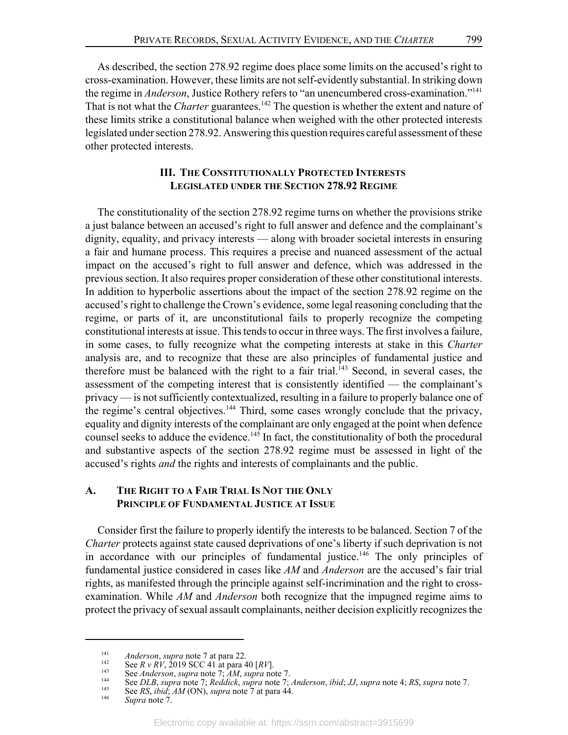As described, the section 278.92 regime does place some limits on the accused's right to cross-examination. However, these limits are not self-evidently substantial. In striking down the regime in Anderson, Justice Rothery refers to "an unencumbered cross-examination."<sup>141</sup> That is not what the *Charter* guarantees.<sup>142</sup> The question is whether the extent and nature of these limits strike a constitutional balance when weighed with the other protected interests legislated under section 278.92. Answering this question requires careful assessment of these other protected interests.

# **III. THE CONSTITUTIONALLY PROTECTED INTERESTS LEGISLATED UNDER THE SECTION 278.92 REGIME**

The constitutionality of the section 278.92 regime turns on whether the provisions strike a just balance between an accused's right to full answer and defence and the complainant's dignity, equality, and privacy interests — along with broader societal interests in ensuring a fair and humane process. This requires a precise and nuanced assessment of the actual impact on the accused's right to full answer and defence, which was addressed in the previous section. It also requires proper consideration of these other constitutional interests. In addition to hyperbolic assertions about the impact of the section 278.92 regime on the accused's right to challenge the Crown's evidence, some legal reasoning concluding that the regime, or parts of it, are unconstitutional fails to properly recognize the competing constitutional interests at issue. This tends to occur in three ways. The first involves a failure, in some cases, to fully recognize what the competing interests at stake in this Charter analysis are, and to recognize that these are also principles of fundamental justice and therefore must be balanced with the right to a fair trial.<sup>143</sup> Second, in several cases, the assessment of the competing interest that is consistently identified — the complainant's privacy — is not sufficiently contextualized, resulting in a failure to properly balance one of the regime's central objectives.<sup>144</sup> Third, some cases wrongly conclude that the privacy, equality and dignity interests of the complainant are only engaged at the point when defence counsel seeks to adduce the evidence.<sup>145</sup> In fact, the constitutionality of both the procedural and substantive aspects of the section 278.92 regime must be assessed in light of the accused's rights and the rights and interests of complainants and the public.

#### A. THE RIGHT TO A FAIR TRIAL IS NOT THE ONLY PRINCIPLE OF FUNDAMENTAL JUSTICE AT ISSUE

Consider first the failure to properly identify the interests to be balanced. Section 7 of the Charter protects against state caused deprivations of one's liberty if such deprivation is not in accordance with our principles of fundamental justice.<sup>146</sup> The only principles of fundamental justice considered in cases like AM and Anderson are the accused's fair trial rights, as manifested through the principle against self-incrimination and the right to crossexamination. While AM and Anderson both recognize that the impugned regime aims to protect the privacy of sexual assault complainants, neither decision explicitly recognizes the

<sup>141</sup> 142

Anderson, supra note 7 at para 22.<br>See  $R v R V$ , 2019 SCC 41 at para 40 [ $R V$ ]. 143

See Anderson, supra note 7; AM, supra note 7. 144

See DLB, supra note 7; Reddick, supra note 7; Anderson, ibid; JJ, supra note 4; RS, supra note 7.<br>See RS, ibid; AM (ON), supra note 7 at para 44. 145

<sup>146</sup> Supra note 7.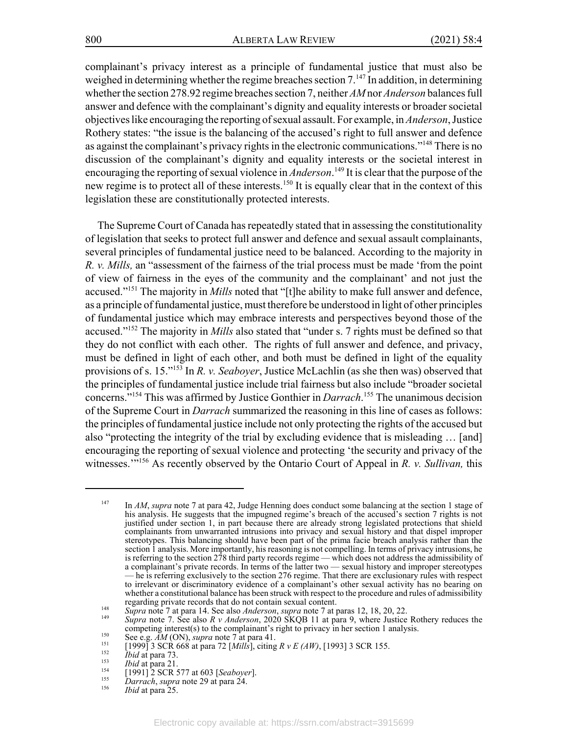complainant's privacy interest as a principle of fundamental justice that must also be weighed in determining whether the regime breaches section  $7.^{147}$  In addition, in determining whether the section 278.92 regime breaches section 7, neither AM nor Anderson balances full answer and defence with the complainant's dignity and equality interests or broader societal objectives like encouraging the reporting of sexual assault. For example, in *Anderson*, Justice Rothery states: "the issue is the balancing of the accused's right to full answer and defence as against the complainant's privacy rights in the electronic communications."<sup>148</sup> There is no discussion of the complainant's dignity and equality interests or the societal interest in encouraging the reporting of sexual violence in *Anderson*.<sup>149</sup> It is clear that the purpose of the new regime is to protect all of these interests.<sup>150</sup> It is equally clear that in the context of this legislation these are constitutionally protected interests.

The Supreme Court of Canada has repeatedly stated that in assessing the constitutionality of legislation that seeks to protect full answer and defence and sexual assault complainants, several principles of fundamental justice need to be balanced. According to the majority in R. v. Mills, an "assessment of the fairness of the trial process must be made 'from the point of view of fairness in the eyes of the community and the complainant' and not just the accused."<sup>151</sup> The majority in *Mills* noted that "[t]he ability to make full answer and defence, as a principle of fundamental justice, must therefore be understood in light of other principles of fundamental justice which may embrace interests and perspectives beyond those of the accused."<sup>152</sup> The majority in Mills also stated that "under s. 7 rights must be defined so that they do not conflict with each other. The rights of full answer and defence, and privacy, must be defined in light of each other, and both must be defined in light of the equality provisions of s. 15. $^{153}$  In R. v. Seaboyer, Justice McLachlin (as she then was) observed that the principles of fundamental justice include trial fairness but also include "broader societal" concerns."<sup>154</sup> This was affirmed by Justice Gonthier in *Darrach*.<sup>155</sup> The unanimous decision of the Supreme Court in *Darrach* summarized the reasoning in this line of cases as follows: the principles of fundamental justice include not only protecting the rights of the accused but also "protecting the integrity of the trial by excluding evidence that is misleading ... [and] encouraging the reporting of sexual violence and protecting 'the security and privacy of the witnesses."<sup>156</sup> As recently observed by the Ontario Court of Appeal in R. v. Sullivan, this

In AM, supra note 7 at para 42, Judge Henning does conduct some balancing at the section 1 stage of his analysis. He suggests that the impugned regime's breach of the accused's section 7 rights is not 147 justified under section 1, in part because there are already strong legislated protections that shield complainants from unwarranted intrusions into privacy and sexual history and that dispel improper complainants from unwarranted intrusions into privacy and sexual history and that dispel improper<br>stereotypes. This balancing should have been part of the prima facie breach analysis rather than the<br>section 1 analysis. Mor to irrelevant or discriminatory evidence of a complainant's other sexual activity has no bearing on whether a constitutional balance has been struck with respect to the procedure and rules of admissibility regarding private records that do not contain sexual content.

<sup>148</sup> Supra note 7 at para 14. See also Anderson, supra note 7 at paras 12, 18, 20, 22.

<sup>149</sup> Supra note 7. See also  $R$  v Anderson, 2020 SKQB 11 at para 9, where Justice Rothery reduces the competing interest(s) to the complainant's right to privacy in her section 1 analysis. 150

See e.g.  $\overline{AM}$  (ON), supra note 7 at para 41.

<sup>151</sup> [1999] 3 SCR 668 at para 72 [*Mills*], citing  $R \nu E (AW)$ , [1993] 3 SCR 155. 152

Ibid at para 73. 153

Ibid at para 21. 154

<sup>[1991] 2</sup> SCR 577 at 603 [Seaboyer].

<sup>155</sup> Darrach, supra note 29 at para 24.

<sup>156</sup> *Ibid* at para 25.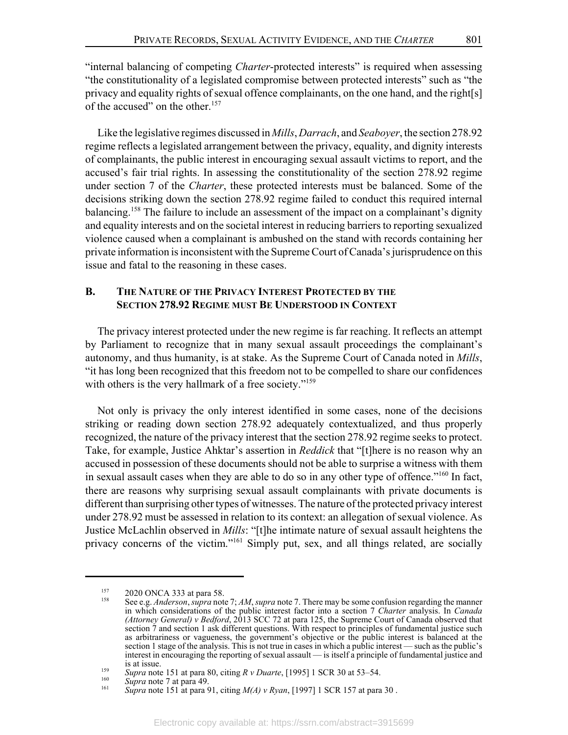"internal balancing of competing *Charter*-protected interests" is required when assessing "the constitutionality of a legislated compromise between protected interests" such as "the privacy and equality rights of sexual offence complainants, on the one hand, and the right[s] of the accused" on the other.<sup>157</sup>

Like the legislative regimes discussed in Mills, Darrach, and Seaboyer, the section 278.92 regime reflects a legislated arrangement between the privacy, equality, and dignity interests of complainants, the public interest in encouraging sexual assault victims to report, and the accused's fair trial rights. In assessing the constitutionality of the section 278.92 regime under section 7 of the Charter, these protected interests must be balanced. Some of the decisions striking down the section 278.92 regime failed to conduct this required internal balancing.<sup>158</sup> The failure to include an assessment of the impact on a complainant's dignity and equality interests and on the societal interest in reducing barriers to reporting sexualized violence caused when a complainant is ambushed on the stand with records containing her private information is inconsistent with the Supreme Court of Canada's jurisprudence on this issue and fatal to the reasoning in these cases.

#### **B.** THE NATURE OF THE PRIVACY INTEREST PROTECTED BY THE **SECTION 278.92 REGIME MUST BE UNDERSTOOD IN CONTEXT**

The privacy interest protected under the new regime is far reaching. It reflects an attempt by Parliament to recognize that in many sexual assault proceedings the complainant's autonomy, and thus humanity, is at stake. As the Supreme Court of Canada noted in *Mills*, "it has long been recognized that this freedom not to be compelled to share our confidences with others is the very hallmark of a free society."<sup>159</sup>

Not only is privacy the only interest identified in some cases, none of the decisions striking or reading down section 278.92 adequately contextualized, and thus properly recognized, the nature of the privacy interest that the section 278.92 regime seeks to protect. Take, for example, Justice Ahktar's assertion in Reddick that "[t]here is no reason why an accused in possession of these documents should not be able to surprise a witness with them in sexual assault cases when they are able to do so in any other type of offence."<sup>160</sup> In fact, there are reasons why surprising sexual assault complainants with private documents is different than surprising other types of witnesses. The nature of the protected privacy interest under 278.92 must be assessed in relation to its context: an allegation of sexual violence. As Justice McLachlin observed in *Mills*: "[t]he intimate nature of sexual assault heightens the privacy concerns of the victim."<sup>161</sup> Simply put, sex, and all things related, are socially

<sup>157</sup> 2020 ONCA 333 at para 58. 158

See e.g. *Anderson*, *supra* note 7; AM, *supra* note 7. There may be some confusion regarding the manner in which considerations of the public interest factor into a section 7 Charter analysis. In Canada (Attorney General) v Bedford,  $2013$  SCC 72 at para 125, the Supreme Court of Canada observed that section 7 and section 1 ask different questions. With respect to principles of fundamental justice such as arbitrariness or vagueness, the government's objective or the public interest is balanced at the section 1 stage of the analysis. This is not true in cases in which a public interest — such as the public's interest in encouraging the reporting of sexual assault — is itself a principle of fundamental justice and is at issue.

<sup>159</sup> Supra note 151 at para 80, citing  $R v$  Duarte, [1995] 1 SCR 30 at 53-54.

<sup>160</sup> Supra note 7 at para 49.

<sup>161</sup> Supra note 151 at para 91, citing  $M(A)$  v Ryan, [1997] 1 SCR 157 at para 30.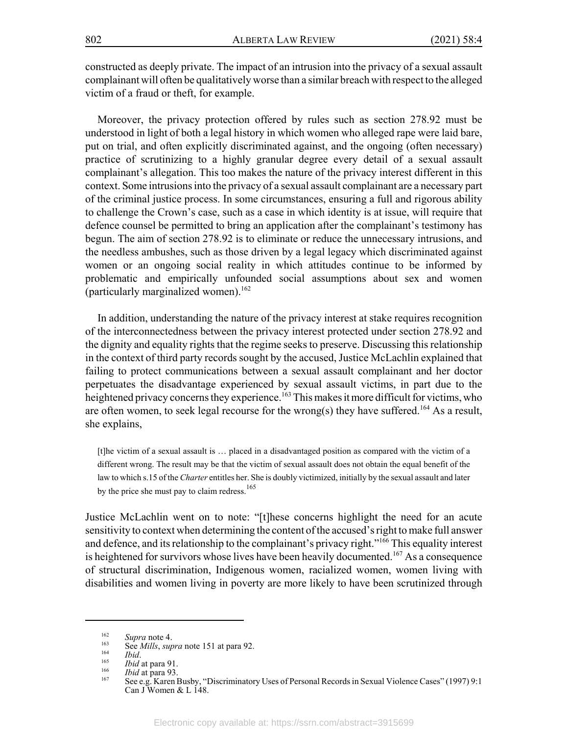constructed as deeply private. The impact of an intrusion into the privacy of a sexual assault complainant will often be qualitatively worse than a similar breach with respect to the alleged victim of a fraud or theft, for example.

Moreover, the privacy protection offered by rules such as section 278.92 must be understood in light of both a legal history in which women who alleged rape were laid bare, put on trial, and often explicitly discriminated against, and the ongoing (often necessary) practice of scrutinizing to a highly granular degree every detail of a sexual assault complainant's allegation. This too makes the nature of the privacy interest different in this context. Some intrusions into the privacy of a sexual assault complainant are a necessary part of the criminal justice process. In some circumstances, ensuring a full and rigorous ability to challenge the Crown's case, such as a case in which identity is at issue, will require that defence counsel be permitted to bring an application after the complainant's testimony has begun. The aim of section 278.92 is to eliminate or reduce the unnecessary intrusions, and the needless ambushes, such as those driven by a legal legacy which discriminated against women or an ongoing social reality in which attitudes continue to be informed by problematic and empirically unfounded social assumptions about sex and women (particularly marginalized women).<sup>162</sup>

In addition, understanding the nature of the privacy interest at stake requires recognition of the interconnectedness between the privacy interest protected under section 278.92 and the dignity and equality rights that the regime seeks to preserve. Discussing this relationship in the context of third party records sought by the accused, Justice McLachlin explained that failing to protect communications between a sexual assault complainant and her doctor perpetuates the disadvantage experienced by sexual assault victims, in part due to the heightened privacy concerns they experience.<sup>163</sup> This makes it more difficult for victims, who are often women, to seek legal recourse for the wrong(s) they have suffered.<sup>164</sup> As a result, she explains,

[t] he victim of a sexual assault is ... placed in a disadvantaged position as compared with the victim of a different wrong. The result may be that the victim of sexual assault does not obtain the equal benefit of the law to which s.15 of the Charter entitles her. She is doubly victimized, initially by the sexual assault and later by the price she must pay to claim redress.<sup>165</sup>

Justice McLachlin went on to note: "[t]hese concerns highlight the need for an acute sensitivity to context when determining the content of the accused's right to make full answer and defence, and its relationship to the complainant's privacy right."<sup>166</sup> This equality interest is heightened for survivors whose lives have been heavily documented.<sup>167</sup> As a consequence of structural discrimination, Indigenous women, racialized women, women living with disabilities and women living in poverty are more likely to have been scrutinized through

<sup>162</sup> Supra note 4.

<sup>163</sup> See Mills, supra note 151 at para 92. 164

Ibid. 165

Ibid at para 91. 166

*Ibid* at para 93. 167

See e.g. Karen Busby, "Discriminatory Uses of Personal Records in Sexual Violence Cases" (1997) 9:1 Can J Women & L 148.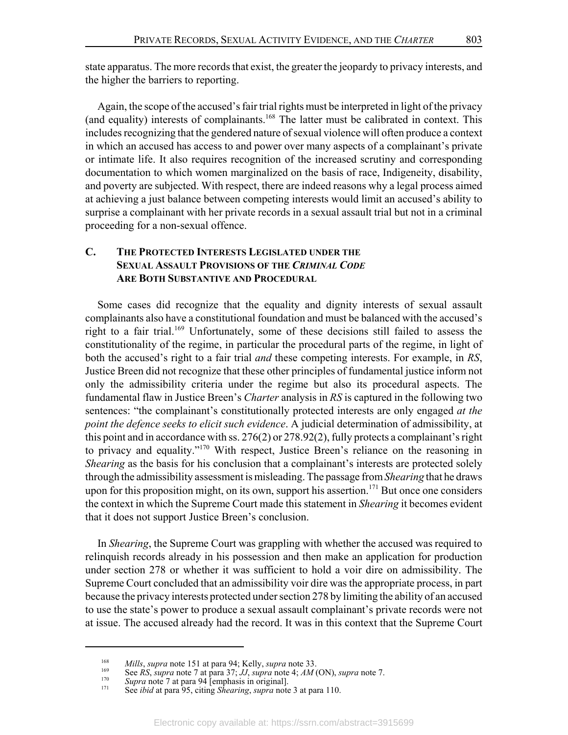state apparatus. The more records that exist, the greater the jeopardy to privacy interests, and the higher the barriers to reporting.

Again, the scope of the accused's fair trial rights must be interpreted in light of the privacy (and equality) interests of complainants.<sup>168</sup> The latter must be calibrated in context. This includes recognizing that the gendered nature of sexual violence will often produce a context in which an accused has access to and power over many aspects of a complainant's private or intimate life. It also requires recognition of the increased scrutiny and corresponding documentation to which women marginalized on the basis of race, Indigeneity, disability, and poverty are subjected. With respect, there are indeed reasons why a legal process aimed at achieving a just balance between competing interests would limit an accused's ability to surprise a complainant with her private records in a sexual assault trial but not in a criminal proceeding for a non-sexual offence.

### $\mathbf{C}$ . THE PROTECTED INTERESTS LEGISLATED UNDER THE **SEXUAL ASSAULT PROVISIONS OF THE CRIMINAL CODE ARE BOTH SUBSTANTIVE AND PROCEDURAL**

Some cases did recognize that the equality and dignity interests of sexual assault complainants also have a constitutional foundation and must be balanced with the accused's right to a fair trial.<sup>169</sup> Unfortunately, some of these decisions still failed to assess the constitutionality of the regime, in particular the procedural parts of the regime, in light of both the accused's right to a fair trial *and* these competing interests. For example, in RS, Justice Breen did not recognize that these other principles of fundamental justice inform not only the admissibility criteria under the regime but also its procedural aspects. The fundamental flaw in Justice Breen's Charter analysis in RS is captured in the following two sentences: "the complainant's constitutionally protected interests are only engaged at the point the defence seeks to elicit such evidence. A judicial determination of admissibility, at this point and in accordance with ss.  $276(2)$  or  $278.92(2)$ , fully protects a complainant's right to privacy and equality."<sup>170</sup> With respect, Justice Breen's reliance on the reasoning in Shearing as the basis for his conclusion that a complainant's interests are protected solely through the admissibility assessment is misleading. The passage from *Shearing* that he draws upon for this proposition might, on its own, support his assertion.<sup>171</sup> But once one considers the context in which the Supreme Court made this statement in *Shearing* it becomes evident that it does not support Justice Breen's conclusion.

In *Shearing*, the Supreme Court was grappling with whether the accused was required to relinquish records already in his possession and then make an application for production under section 278 or whether it was sufficient to hold a voir dire on admissibility. The Supreme Court concluded that an admissibility voir dire was the appropriate process, in part because the privacy interests protected under section 278 by limiting the ability of an accused to use the state's power to produce a sexual assault complainant's private records were not at issue. The accused already had the record. It was in this context that the Supreme Court

<sup>168</sup> 

Mills, supra note 151 at para 94; Kelly, supra note 33.<br>See RS, supra note 7 at para 37; JJ, supra note 4; AM (ON), supra note 7.<br>Supra note 7 at para 94 [emphasis in original]. 169 170

<sup>171</sup> 

See *ibid* at para 95, citing *Shearing*, *supra* note 3 at para 110.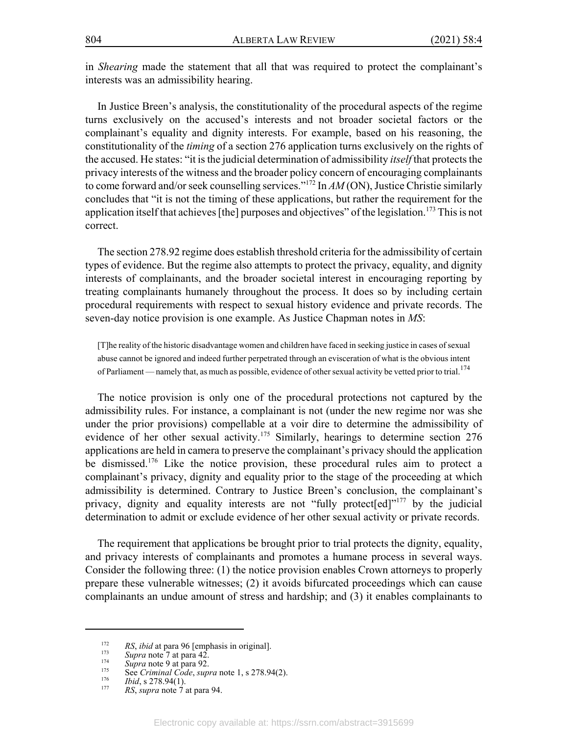in *Shearing* made the statement that all that was required to protect the complainant's interests was an admissibility hearing.

In Justice Breen's analysis, the constitutionality of the procedural aspects of the regime turns exclusively on the accused's interests and not broader societal factors or the complainant's equality and dignity interests. For example, based on his reasoning, the constitutionality of the *timing* of a section 276 application turns exclusively on the rights of the accused. He states: "it is the judicial determination of admissibility *itself* that protects the privacy interests of the witness and the broader policy concern of encouraging complainants to come forward and/or seek counselling services." $172$  In  $AM(ON)$ , Justice Christie similarly concludes that "it is not the timing of these applications, but rather the requirement for the application itself that achieves [the] purposes and objectives" of the legislation.<sup>173</sup> This is not correct.

The section 278.92 regime does establish threshold criteria for the admissibility of certain types of evidence. But the regime also attempts to protect the privacy, equality, and dignity interests of complainants, and the broader societal interest in encouraging reporting by treating complainants humanely throughout the process. It does so by including certain procedural requirements with respect to sexual history evidence and private records. The seven-day notice provision is one example. As Justice Chapman notes in MS:

[T]he reality of the historic disadvantage women and children have faced in seeking justice in cases of sexual abuse cannot be ignored and indeed further perpetrated through an evisceration of what is the obvious intent of Parliament — namely that, as much as possible, evidence of other sexual activity be vetted prior to trial.<sup>174</sup>

The notice provision is only one of the procedural protections not captured by the admissibility rules. For instance, a complainant is not (under the new regime nor was she under the prior provisions) compellable at a voir dire to determine the admissibility of evidence of her other sexual activity.<sup>175</sup> Similarly, hearings to determine section 276 applications are held in camera to preserve the complainant's privacy should the application be dismissed.<sup>176</sup> Like the notice provision, these procedural rules aim to protect a complainant's privacy, dignity and equality prior to the stage of the proceeding at which admissibility is determined. Contrary to Justice Breen's conclusion, the complainant's privacy, dignity and equality interests are not "fully protect[ed]"<sup>177</sup> by the judicial determination to admit or exclude evidence of her other sexual activity or private records.

The requirement that applications be brought prior to trial protects the dignity, equality, and privacy interests of complainants and promotes a humane process in several ways. Consider the following three: (1) the notice provision enables Crown attorneys to properly prepare these vulnerable witnesses; (2) it avoids bifurcated proceedings which can cause complainants an undue amount of stress and hardship; and (3) it enables complainants to

<sup>172</sup> RS, ibid at para 96 [emphasis in original].<br>Supra note 7 at para 42. 173

<sup>174</sup> 

Supra note 9 at para 92. 175

See Criminal Code, supra note 1, s 278.94(2).

<sup>176</sup> *Ibid*, s 278.94(1).

<sup>177</sup> RS, supra note 7 at para 94.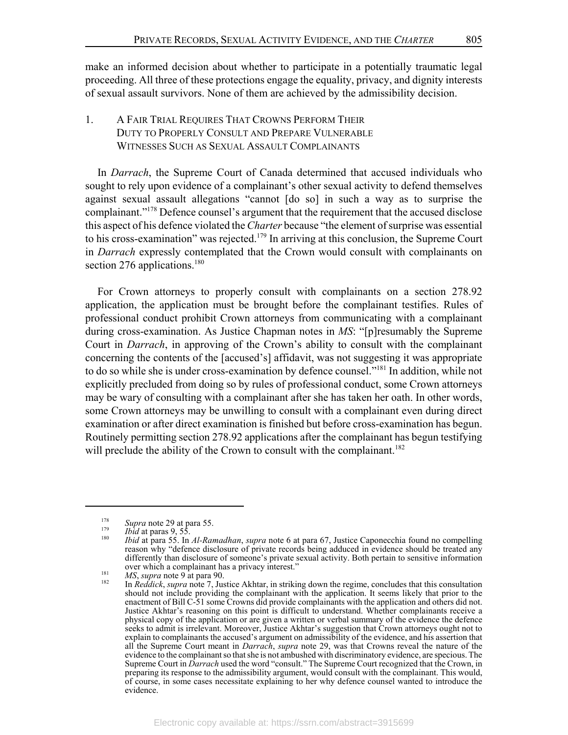make an informed decision about whether to participate in a potentially traumatic legal proceeding. All three of these protections engage the equality, privacy, and dignity interests of sexual assault survivors. None of them are achieved by the admissibility decision.

### $1<sub>1</sub>$ A FAIR TRIAL REQUIRES THAT CROWNS PERFORM THEIR DUTY TO PROPERLY CONSULT AND PREPARE VULNERABLE WITNESSES SUCH AS SEXUAL ASSAULT COMPLAINANTS

In *Darrach*, the Supreme Court of Canada determined that accused individuals who sought to rely upon evidence of a complainant's other sexual activity to defend themselves against sexual assault allegations "cannot [do so] in such a way as to surprise the complainant."<sup>178</sup> Defence counsel's argument that the requirement that the accused disclose this aspect of his defence violated the *Charter* because "the element of surprise was essential to his cross-examination" was rejected.<sup>179</sup> In arriving at this conclusion, the Supreme Court in *Darrach* expressly contemplated that the Crown would consult with complainants on section 276 applications.<sup>180</sup>

For Crown attorneys to properly consult with complainants on a section 278.92 application, the application must be brought before the complainant testifies. Rules of professional conduct prohibit Crown attorneys from communicating with a complainant during cross-examination. As Justice Chapman notes in MS: "[p] resumably the Supreme Court in *Darrach*, in approving of the Crown's ability to consult with the complainant concerning the contents of the [accused's] affidavit, was not suggesting it was appropriate to do so while she is under cross-examination by defence counsel."<sup>181</sup> In addition, while not explicitly precluded from doing so by rules of professional conduct, some Crown attorneys may be wary of consulting with a complainant after she has taken her oath. In other words, some Crown attorneys may be unwilling to consult with a complainant even during direct examination or after direct examination is finished but before cross-examination has begun. Routinely permitting section 278.92 applications after the complainant has begun testifying will preclude the ability of the Crown to consult with the complainant.<sup>182</sup>

<sup>178</sup> Supra note 29 at para 55.

<sup>179</sup> *Ibid* at paras  $9, 5\overline{5}$ . 180

Ibid at para 55. In Al-Ramadhan, supra note 6 at para 67, Justice Caponecchia found no compelling reason why "defence disclosure of private records being adduced in evidence should be treated any differently than disclosure of someone's private sexual activity. Both pertain to sensitive information over which a complainant has a privacy interest."

<sup>181</sup> MS, supra note 9 at para 90. 182

In Reddick, supra note 7, Justice Akhtar, in striking down the regime, concludes that this consultation should not include providing the complainant with the application. It seems likely that prior to the enactment of Bill C-51 some Crowns did provide complainants with the application and others did not. Justice Akhtar's reasoning on this point is difficult to understand. Whether complainants receive a physical copy of the application or are given a written or verbal summary of the evidence the defence seeks to admit is irrelevant. Moreover, Justice Akhtar's suggestion that Crown attorneys ought not to explain to complainants the accused's argument on admissibility of the evidence, and his assertion that<br>all the Supreme Court meant in *Darrach*, *supra* note 29, was that Crowns reveal the nature of the<br>evidence to the co Supreme Court in *Darrach* used the word "consult." The Supreme Court recognized that the Crown, in preparing its response to the admissibility argument, would consult with the complainant. This would, of course, in some cases necessitate explaining to her why defence counsel wanted to introduce the evidence.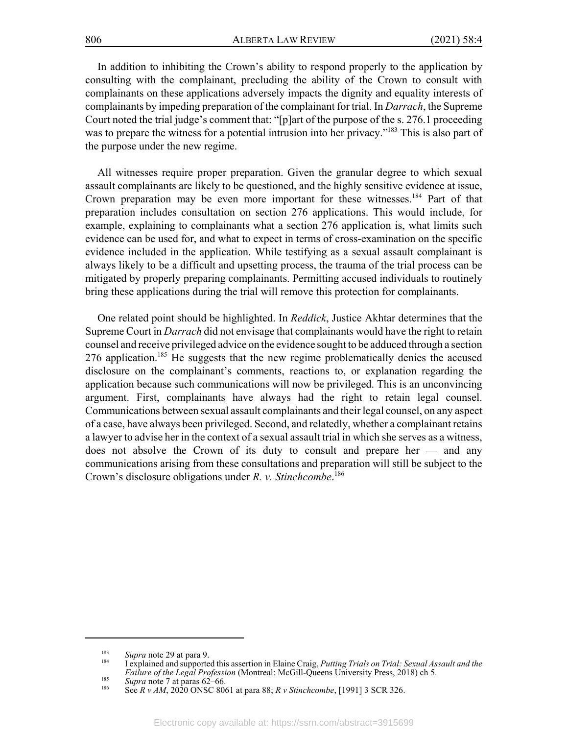In addition to inhibiting the Crown's ability to respond properly to the application by consulting with the complainant, precluding the ability of the Crown to consult with complainants on these applications adversely impacts the dignity and equality interests of complainants by impeding preparation of the complainant for trial. In Darrach, the Supreme Court noted the trial judge's comment that: "[p]art of the purpose of the s. 276.1 proceeding was to prepare the witness for a potential intrusion into her privacy."<sup>183</sup> This is also part of the purpose under the new regime.

All witnesses require proper preparation. Given the granular degree to which sexual assault complainants are likely to be questioned, and the highly sensitive evidence at issue, Crown preparation may be even more important for these witnesses.<sup>184</sup> Part of that preparation includes consultation on section 276 applications. This would include, for example, explaining to complainants what a section 276 application is, what limits such evidence can be used for, and what to expect in terms of cross-examination on the specific evidence included in the application. While testifying as a sexual assault complainant is always likely to be a difficult and upsetting process, the trauma of the trial process can be mitigated by properly preparing complainants. Permitting accused individuals to routinely bring these applications during the trial will remove this protection for complainants.

One related point should be highlighted. In Reddick, Justice Akhtar determines that the Supreme Court in *Darrach* did not envisage that complainants would have the right to retain counsel and receive privileged advice on the evidence sought to be adduced through a section 276 application.<sup>185</sup> He suggests that the new regime problematically denies the accused disclosure on the complainant's comments, reactions to, or explanation regarding the application because such communications will now be privileged. This is an unconvincing argument. First, complainants have always had the right to retain legal counsel. Communications between sexual assault complainants and their legal counsel, on any aspect of a case, have always been privileged. Second, and relatedly, whether a complainant retains a lawyer to advise her in the context of a sexual assault trial in which she serves as a witness, does not absolve the Crown of its duty to consult and prepare her  $-$  and any communications arising from these consultations and preparation will still be subject to the Crown's disclosure obligations under  $R$ . v. Stinchcombe.<sup>186</sup>

<sup>183</sup> Supra note 29 at para 9.

<sup>184</sup> I explained and supported this assertion in Elaine Craig, Putting Trials on Trial: Sexual Assault and the Failure of the Legal Profession (Montreal: McGill-Queens University Press, 2018) ch 5. 185

Supra note 7 at paras 62–66.

<sup>186</sup> See R v AM, 2020 ONSC 8061 at para 88; R v Stinchcombe, [1991] 3 SCR 326.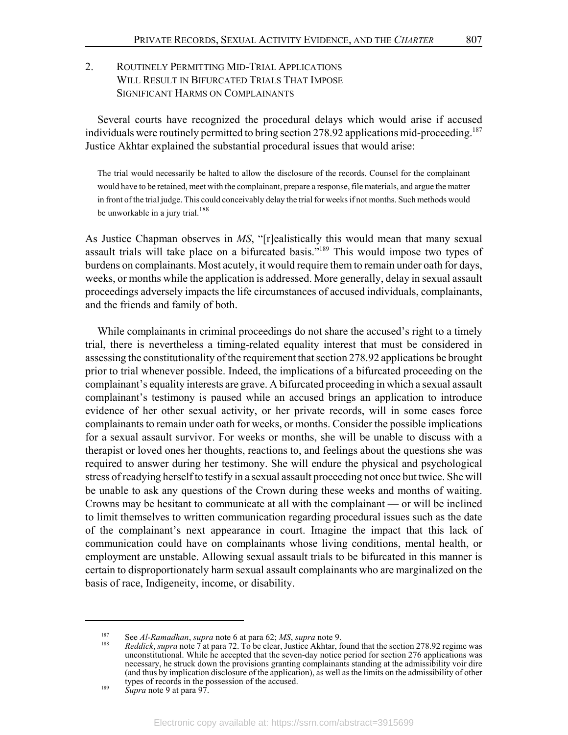### $2.$ ROUTINELY PERMITTING MID-TRIAL APPLICATIONS WILL RESULT IN BIFURCATED TRIALS THAT IMPOSE **SIGNIFICANT HARMS ON COMPLAINANTS**

Several courts have recognized the procedural delays which would arise if accused individuals were routinely permitted to bring section 278.92 applications mid-proceeding.<sup>187</sup> Justice Akhtar explained the substantial procedural issues that would arise:

The trial would necessarily be halted to allow the disclosure of the records. Counsel for the complainant would have to be retained, meet with the complainant, prepare a response, file materials, and argue the matter in front of the trial judge. This could conceivably delay the trial for weeks if not months. Such methods would be unworkable in a jury trial.  $^{188}$ 

As Justice Chapman observes in MS, "[r]ealistically this would mean that many sexual assault trials will take place on a bifurcated basis."<sup>189</sup> This would impose two types of burdens on complainants. Most acutely, it would require them to remain under oath for days, weeks, or months while the application is addressed. More generally, delay in sexual assault proceedings adversely impacts the life circumstances of accused individuals, complainants, and the friends and family of both.

While complainants in criminal proceedings do not share the accused's right to a timely trial, there is nevertheless a timing-related equality interest that must be considered in assessing the constitutionality of the requirement that section 278.92 applications be brought prior to trial whenever possible. Indeed, the implications of a bifurcated proceeding on the complainant's equality interests are grave. A bifurcated proceeding in which a sexual assault complainant's testimony is paused while an accused brings an application to introduce evidence of her other sexual activity, or her private records, will in some cases force complainants to remain under oath for weeks, or months. Consider the possible implications for a sexual assault survivor. For weeks or months, she will be unable to discuss with a therapist or loved ones her thoughts, reactions to, and feelings about the questions she was required to answer during her testimony. She will endure the physical and psychological stress of readying herself to testify in a sexual assault proceeding not once but twice. She will be unable to ask any questions of the Crown during these weeks and months of waiting. Crowns may be hesitant to communicate at all with the complainant — or will be inclined to limit themselves to written communication regarding procedural issues such as the date of the complainant's next appearance in court. Imagine the impact that this lack of communication could have on complainants whose living conditions, mental health, or employment are unstable. Allowing sexual assault trials to be bifurcated in this manner is certain to disproportionately harm sexual assault complainants who are marginalized on the basis of race, Indigeneity, income, or disability.

<sup>187</sup> 

See Al-Ramadhan, supra note 6 at para 62; MS, supra note 9.<br>Reddick, supra note 7 at para 72. To be clear, Justice Akhtar, found that the section 278.92 regime was unconstitutional. While he accepted that the seven-day not 188 necessary, he struck down the provisions granting complainants standing at the admissibility voir dire<br>(and thus by implication disclosure of the application), as well as the limits on the admissibility of other types of records in the possession of the accused.

<sup>189</sup> Supra note 9 at para 97.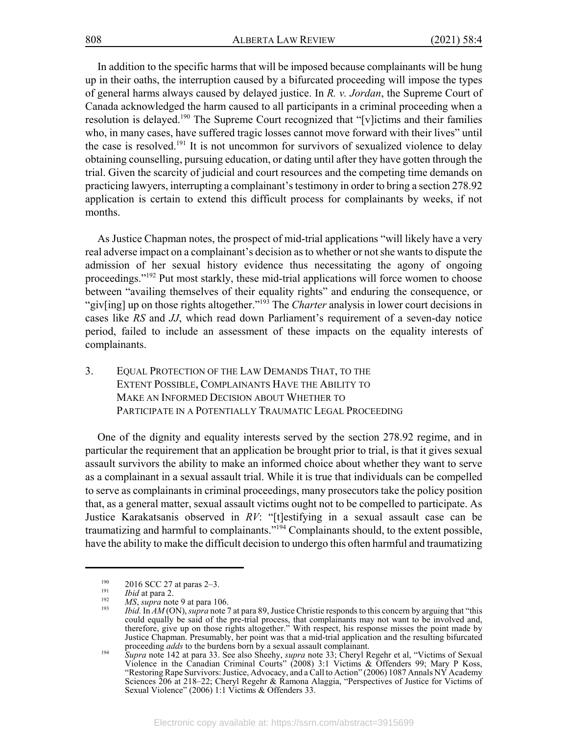In addition to the specific harms that will be imposed because complainants will be hung up in their oaths, the interruption caused by a bifurcated proceeding will impose the types of general harms always caused by delayed justice. In R. v. Jordan, the Supreme Court of Canada acknowledged the harm caused to all participants in a criminal proceeding when a resolution is delayed.<sup>190</sup> The Supreme Court recognized that "[v]ictims and their families who, in many cases, have suffered tragic losses cannot move forward with their lives" until the case is resolved.<sup>191</sup> It is not uncommon for survivors of sexualized violence to delay obtaining counselling, pursuing education, or dating until after they have gotten through the trial. Given the scarcity of judicial and court resources and the competing time demands on practicing lawyers, interrupting a complainant's testimony in order to bring a section 278.92 application is certain to extend this difficult process for complainants by weeks, if not months.

As Justice Chapman notes, the prospect of mid-trial applications "will likely have a very real adverse impact on a complainant's decision as to whether or not she wants to dispute the admission of her sexual history evidence thus necessitating the agony of ongoing proceedings."<sup>192</sup> Put most starkly, these mid-trial applications will force women to choose between "availing themselves of their equality rights" and enduring the consequence, or "giv[ing] up on those rights altogether."<sup>193</sup> The *Charter* analysis in lower court decisions in cases like RS and JJ, which read down Parliament's requirement of a seven-day notice period, failed to include an assessment of these impacts on the equality interests of complainants.

3. EQUAL PROTECTION OF THE LAW DEMANDS THAT, TO THE EXTENT POSSIBLE, COMPLAINANTS HAVE THE ABILITY TO MAKE AN INFORMED DECISION ABOUT WHETHER TO PARTICIPATE IN A POTENTIALLY TRAUMATIC LEGAL PROCEEDING

One of the dignity and equality interests served by the section 278.92 regime, and in particular the requirement that an application be brought prior to trial, is that it gives sexual assault survivors the ability to make an informed choice about whether they want to serve as a complainant in a sexual assault trial. While it is true that individuals can be compelled to serve as complainants in criminal proceedings, many prosecutors take the policy position that, as a general matter, sexual assault victims ought not to be compelled to participate. As Justice Karakatsanis observed in RV: "[t]estifying in a sexual assault case can be traumatizing and harmful to complainants."<sup>194</sup> Complainants should, to the extent possible, have the ability to make the difficult decision to undergo this often harmful and traumatizing

<sup>190</sup> 2016 SCC 27 at paras 2-3.

<sup>191</sup> Ibid at para 2.

<sup>192</sup> MS, supra note 9 at para 106.

<sup>193</sup> Ibid. In AM (ON), supra note 7 at para 89, Justice Christie responds to this concern by arguing that "this could equally be said of the pre-trial process, that complainants may not want to be involved and, therefore, give up on those rights altogether." With respect, his response misses the point made by Justice Chapman. Presumably, her point was that a mid-trial application and the resulting bifurcated 194

proceeding *adds* to the burdens born by a sexual assault complainant.<br>Supra note 142 at para 33. See also Sheehy, *supra* note 33; Cheryl Regehr et al, "Victims of Sexual Violence in the Canadian Criminal Courts" (2008) 3 "Restoring Rape Survivors: Justice, Advocacy, and a Call to Action" (2006) 1087 Annals NY Academy<br>Sciences 206 at 218–22; Cheryl Regehr & Ramona Alaggia, "Perspectives of Justice for Victims of Sexual Violence" (2006) 1:1 Victims & Offenders 33.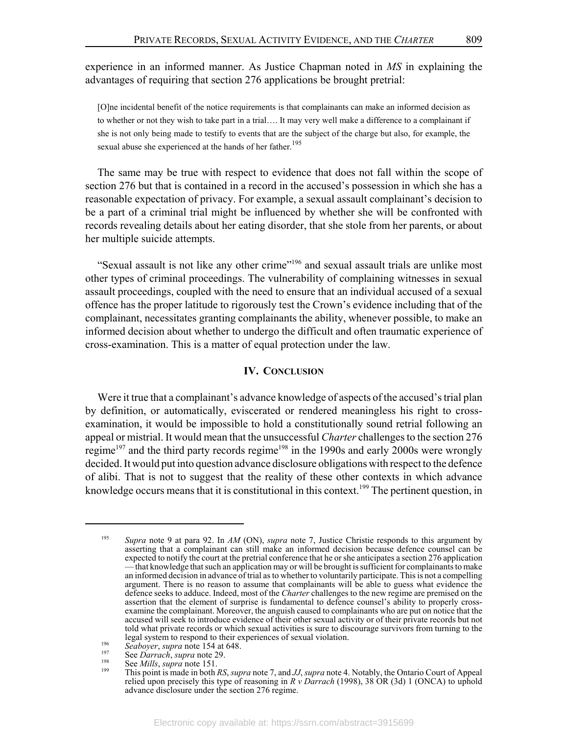experience in an informed manner. As Justice Chapman noted in  $\overline{MS}$  in explaining the advantages of requiring that section 276 applications be brought pretrial:

[O]ne incidental benefit of the notice requirements is that complainants can make an informed decision as to whether or not they wish to take part in a trial.... It may very well make a difference to a complainant if she is not only being made to testify to events that are the subject of the charge but also, for example, the sexual abuse she experienced at the hands of her father.<sup>195</sup>

The same may be true with respect to evidence that does not fall within the scope of section 276 but that is contained in a record in the accused's possession in which she has a reasonable expectation of privacy. For example, a sexual assault complainant's decision to be a part of a criminal trial might be influenced by whether she will be confronted with records revealing details about her eating disorder, that she stole from her parents, or about her multiple suicide attempts.

"Sexual assault is not like any other crime"<sup>196</sup> and sexual assault trials are unlike most other types of criminal proceedings. The vulnerability of complaining witnesses in sexual assault proceedings, coupled with the need to ensure that an individual accused of a sexual offence has the proper latitude to rigorously test the Crown's evidence including that of the complainant, necessitates granting complainants the ability, whenever possible, to make an informed decision about whether to undergo the difficult and often traumatic experience of cross-examination. This is a matter of equal protection under the law.

### **IV. CONCLUSION**

Were it true that a complainant's advance knowledge of aspects of the accused's trial plan by definition, or automatically, eviscerated or rendered meaningless his right to crossexamination, it would be impossible to hold a constitutionally sound retrial following an appeal or mistrial. It would mean that the unsuccessful Charter challenges to the section 276 regime<sup>197</sup> and the third party records regime<sup>198</sup> in the 1990s and early 2000s were wrongly decided. It would put into question advance disclosure obligations with respect to the defence of alibi. That is not to suggest that the reality of these other contexts in which advance knowledge occurs means that it is constitutional in this context.<sup>199</sup> The pertinent question, in

- 196 Seaboyer, supra note 154 at 648. 197
- See Darrach, supra note 29. 198
- See Mills, supra note 151. 199

Supra note 9 at para 92. In  $AM$  (ON), supra note 7, Justice Christie responds to this argument by asserting that a complainant can still make an informed decision because defence counsel can be 195 expected to notify the court at the pretrial conference that he or she anticipates a section 276 application that knowledge that such an application may or will be brought is sufficient for complainants to make an informed decision in advance of trial as to whether to voluntarily participate. This is not a compelling argument. There is no reason to assume that complainants will be able to guess what evidence the defence seeks to adduce. Indeed, most of the *Charter* challenges to the new regime are premised on the assertion that the element of surprise is fundamental to defence counsel's ability to properly crossexamine the complainant. Moreover, the anguish caused to complainants who are put on notice that the accused will seek to introduce evidence of their other sexual activity or of their private records but not told what private records or which sexual activities is sure to discourage survivors from turning to the legal system to respond to their experiences of sexual violation.

This point is made in both RS, supra note 7, and JJ, supra note 4. Notably, the Ontario Court of Appeal relied upon precisely this type of reasoning in  $R \nu$  Darrach (1998), 38 OR (3d) 1 (ONCA) to uphold advance disclosure under the section 276 regime.